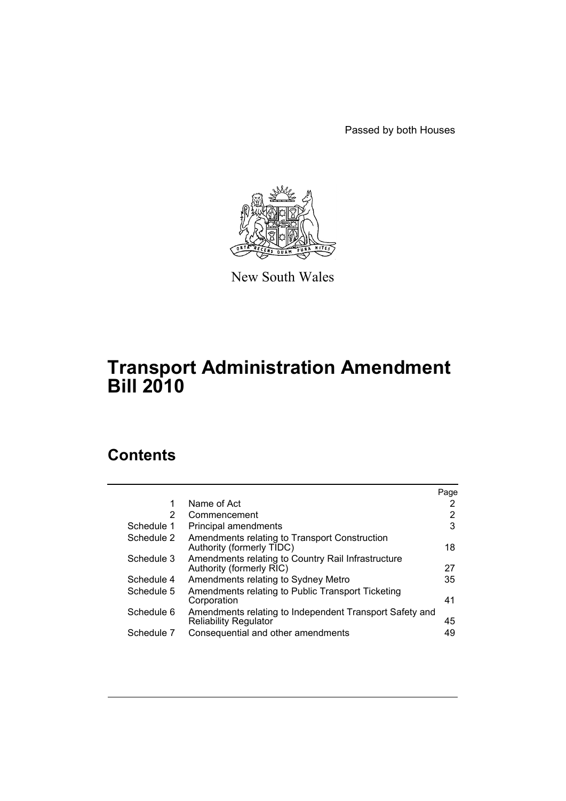Passed by both Houses



New South Wales

# **Transport Administration Amendment Bill 2010**

# **Contents**

|            |                                                                                         | Page |
|------------|-----------------------------------------------------------------------------------------|------|
| 1          | Name of Act                                                                             |      |
| 2          | Commencement                                                                            | 2    |
| Schedule 1 | Principal amendments                                                                    | 3    |
| Schedule 2 | Amendments relating to Transport Construction<br>Authority (formerly TIDC)              | 18   |
| Schedule 3 | Amendments relating to Country Rail Infrastructure<br>Authority (formerly RIC)          | 27   |
| Schedule 4 | Amendments relating to Sydney Metro                                                     | 35   |
| Schedule 5 | Amendments relating to Public Transport Ticketing<br>Corporation                        | 41   |
| Schedule 6 | Amendments relating to Independent Transport Safety and<br><b>Reliability Regulator</b> | 45   |
| Schedule 7 | Consequential and other amendments                                                      | 49   |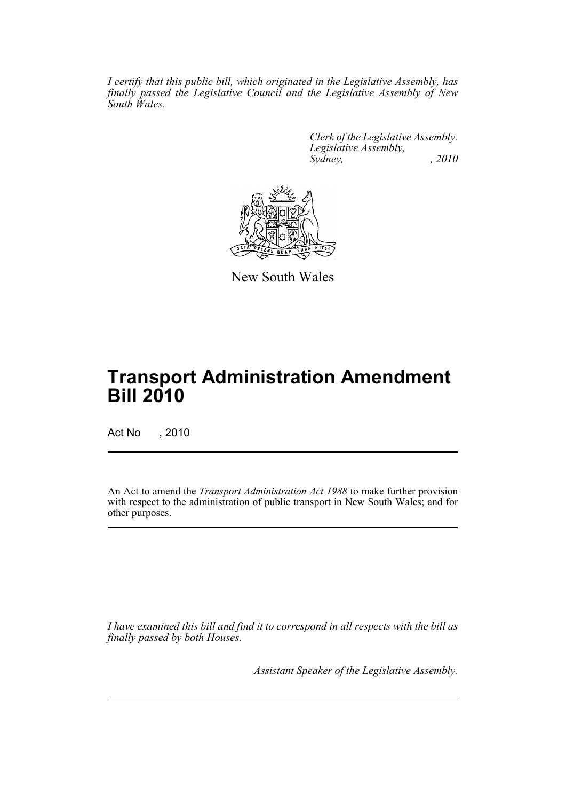*I certify that this public bill, which originated in the Legislative Assembly, has finally passed the Legislative Council and the Legislative Assembly of New South Wales.*

> *Clerk of the Legislative Assembly. Legislative Assembly, Sydney, , 2010*



New South Wales

# **Transport Administration Amendment Bill 2010**

Act No , 2010

An Act to amend the *Transport Administration Act 1988* to make further provision with respect to the administration of public transport in New South Wales; and for other purposes.

*I have examined this bill and find it to correspond in all respects with the bill as finally passed by both Houses.*

*Assistant Speaker of the Legislative Assembly.*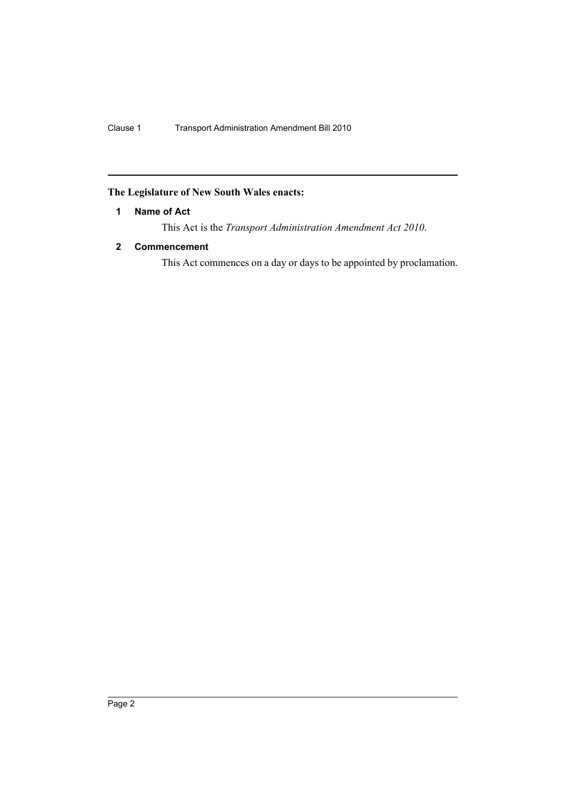### <span id="page-2-0"></span>**The Legislature of New South Wales enacts:**

#### **1 Name of Act**

This Act is the *Transport Administration Amendment Act 2010*.

### <span id="page-2-1"></span>**2 Commencement**

This Act commences on a day or days to be appointed by proclamation.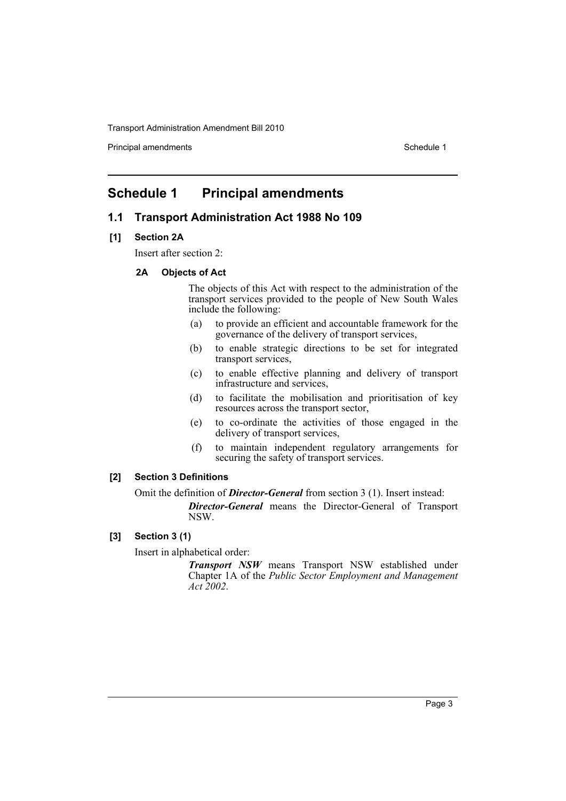**Principal amendments Schedule 1 Contract 2 Contract 2 Schedule 1 Schedule 1** 

### <span id="page-3-0"></span>**Schedule 1 Principal amendments**

#### **1.1 Transport Administration Act 1988 No 109**

#### **[1] Section 2A**

Insert after section 2:

#### **2A Objects of Act**

The objects of this Act with respect to the administration of the transport services provided to the people of New South Wales include the following:

- (a) to provide an efficient and accountable framework for the governance of the delivery of transport services,
- (b) to enable strategic directions to be set for integrated transport services,
- (c) to enable effective planning and delivery of transport infrastructure and services,
- (d) to facilitate the mobilisation and prioritisation of key resources across the transport sector,
- (e) to co-ordinate the activities of those engaged in the delivery of transport services,
- (f) to maintain independent regulatory arrangements for securing the safety of transport services.

#### **[2] Section 3 Definitions**

Omit the definition of *Director-General* from section 3 (1). Insert instead:

*Director-General* means the Director-General of Transport NSW.

#### **[3] Section 3 (1)**

Insert in alphabetical order:

*Transport NSW* means Transport NSW established under Chapter 1A of the *Public Sector Employment and Management Act 2002*.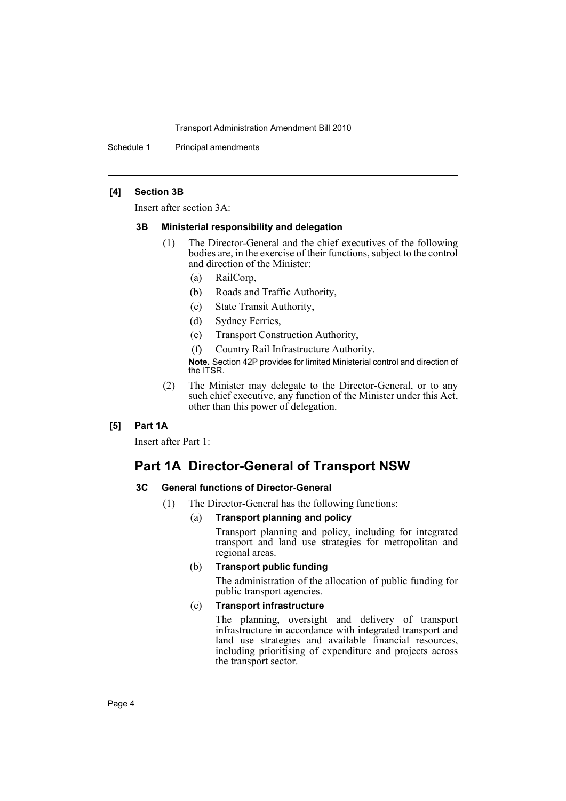Schedule 1 Principal amendments

#### **[4] Section 3B**

Insert after section 3A:

#### **3B Ministerial responsibility and delegation**

- (1) The Director-General and the chief executives of the following bodies are, in the exercise of their functions, subject to the control and direction of the Minister:
	- (a) RailCorp,
	- (b) Roads and Traffic Authority,
	- (c) State Transit Authority,
	- (d) Sydney Ferries,
	- (e) Transport Construction Authority,
	- (f) Country Rail Infrastructure Authority.

**Note.** Section 42P provides for limited Ministerial control and direction of the ITSR.

(2) The Minister may delegate to the Director-General, or to any such chief executive, any function of the Minister under this Act, other than this power of delegation.

#### **[5] Part 1A**

Insert after Part 1:

### **Part 1A Director-General of Transport NSW**

#### **3C General functions of Director-General**

- (1) The Director-General has the following functions:
	- (a) **Transport planning and policy**

Transport planning and policy, including for integrated transport and land use strategies for metropolitan and regional areas.

(b) **Transport public funding**

The administration of the allocation of public funding for public transport agencies.

#### (c) **Transport infrastructure**

The planning, oversight and delivery of transport infrastructure in accordance with integrated transport and land use strategies and available financial resources, including prioritising of expenditure and projects across the transport sector.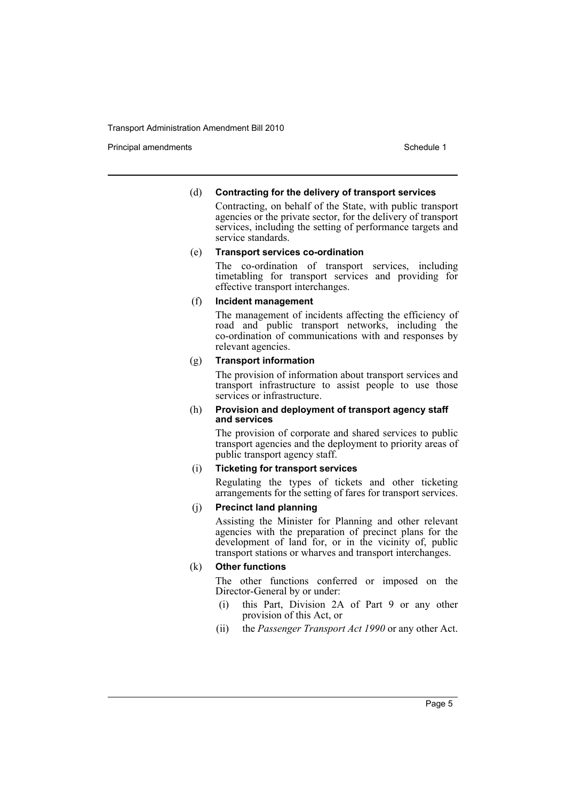Principal amendments **Schedule 1** and the set of the set of the Schedule 1 and the Schedule 1

#### (d) **Contracting for the delivery of transport services**

Contracting, on behalf of the State, with public transport agencies or the private sector, for the delivery of transport services, including the setting of performance targets and service standards.

#### (e) **Transport services co-ordination**

The co-ordination of transport services, including timetabling for transport services and providing for effective transport interchanges.

#### (f) **Incident management**

The management of incidents affecting the efficiency of road and public transport networks, including the co-ordination of communications with and responses by relevant agencies.

#### (g) **Transport information**

The provision of information about transport services and transport infrastructure to assist people to use those services or infrastructure.

#### (h) **Provision and deployment of transport agency staff and services**

The provision of corporate and shared services to public transport agencies and the deployment to priority areas of public transport agency staff.

#### (i) **Ticketing for transport services**

Regulating the types of tickets and other ticketing arrangements for the setting of fares for transport services.

#### (j) **Precinct land planning**

Assisting the Minister for Planning and other relevant agencies with the preparation of precinct plans for the development of land for, or in the vicinity of, public transport stations or wharves and transport interchanges.

#### (k) **Other functions**

The other functions conferred or imposed on the Director-General by or under:

- (i) this Part, Division 2A of Part 9 or any other provision of this Act, or
- (ii) the *Passenger Transport Act 1990* or any other Act.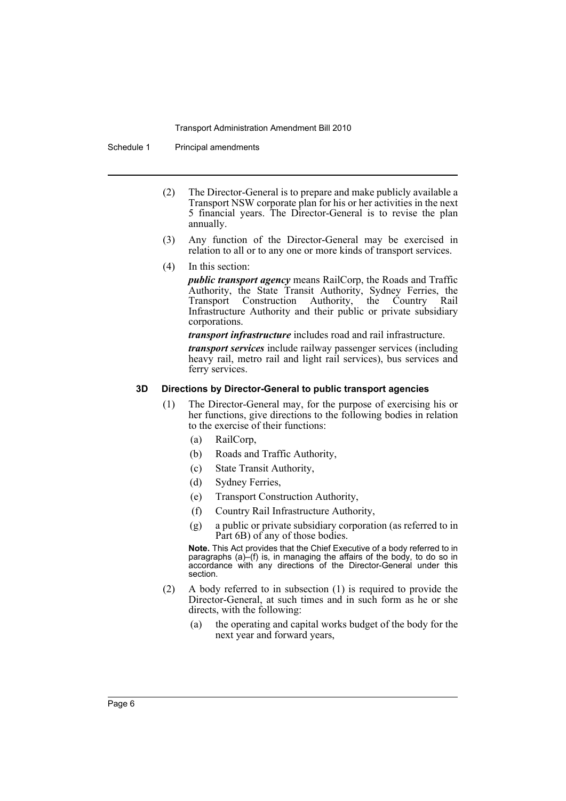Schedule 1 Principal amendments

- (2) The Director-General is to prepare and make publicly available a Transport NSW corporate plan for his or her activities in the next 5 financial years. The Director-General is to revise the plan annually.
- (3) Any function of the Director-General may be exercised in relation to all or to any one or more kinds of transport services.
- (4) In this section:

*public transport agency* means RailCorp, the Roads and Traffic Authority, the State Transit Authority, Sydney Ferries, the Transport Construction Authority, the Country Rail Infrastructure Authority and their public or private subsidiary corporations.

*transport infrastructure* includes road and rail infrastructure.

*transport services* include railway passenger services (including heavy rail, metro rail and light rail services), bus services and ferry services.

#### **3D Directions by Director-General to public transport agencies**

- (1) The Director-General may, for the purpose of exercising his or her functions, give directions to the following bodies in relation to the exercise of their functions:
	- (a) RailCorp,
	- (b) Roads and Traffic Authority,
	- (c) State Transit Authority,
	- (d) Sydney Ferries,
	- (e) Transport Construction Authority,
	- (f) Country Rail Infrastructure Authority,
	- (g) a public or private subsidiary corporation (as referred to in Part 6B) of any of those bodies.

**Note.** This Act provides that the Chief Executive of a body referred to in paragraphs (a)–(f) is, in managing the affairs of the body, to do so in accordance with any directions of the Director-General under this section.

- (2) A body referred to in subsection (1) is required to provide the Director-General, at such times and in such form as he or she directs, with the following:
	- (a) the operating and capital works budget of the body for the next year and forward years,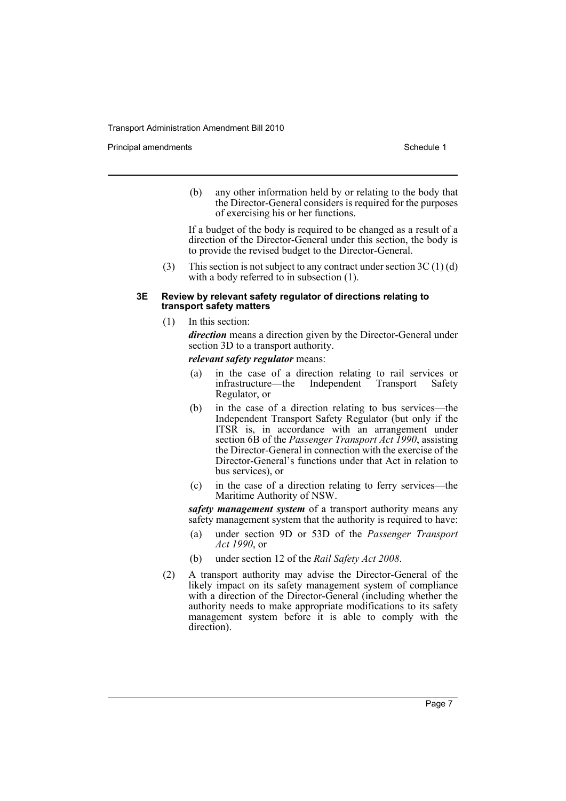Principal amendments **Schedule 1** and the set of the set of the Schedule 1 and the Schedule 1

(b) any other information held by or relating to the body that the Director-General considers is required for the purposes of exercising his or her functions.

If a budget of the body is required to be changed as a result of a direction of the Director-General under this section, the body is to provide the revised budget to the Director-General.

(3) This section is not subject to any contract under section  $3C(1)(d)$ with a body referred to in subsection  $(1)$ .

#### **3E Review by relevant safety regulator of directions relating to transport safety matters**

(1) In this section:

*direction* means a direction given by the Director-General under section 3D to a transport authority.

*relevant safety regulator* means:

- (a) in the case of a direction relating to rail services or infrastructure—the Independent Transport Safety Regulator, or
- (b) in the case of a direction relating to bus services—the Independent Transport Safety Regulator (but only if the ITSR is, in accordance with an arrangement under section 6B of the *Passenger Transport Act 1990*, assisting the Director-General in connection with the exercise of the Director-General's functions under that Act in relation to bus services), or
- (c) in the case of a direction relating to ferry services—the Maritime Authority of NSW.

*safety management system* of a transport authority means any safety management system that the authority is required to have:

- (a) under section 9D or 53D of the *Passenger Transport Act 1990*, or
- (b) under section 12 of the *Rail Safety Act 2008*.
- (2) A transport authority may advise the Director-General of the likely impact on its safety management system of compliance with a direction of the Director-General (including whether the authority needs to make appropriate modifications to its safety management system before it is able to comply with the direction).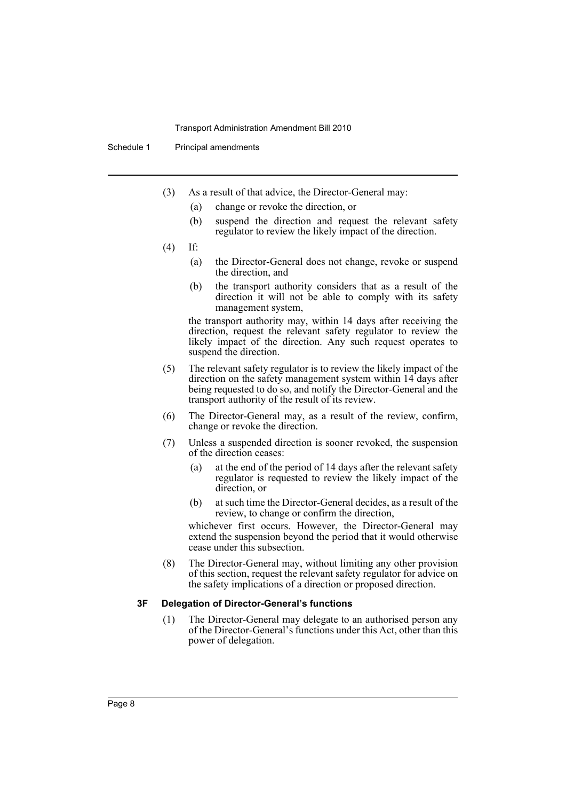#### Schedule 1 Principal amendments

- (3) As a result of that advice, the Director-General may:
	- (a) change or revoke the direction, or
	- (b) suspend the direction and request the relevant safety regulator to review the likely impact of the direction.
- (4) If:
	- (a) the Director-General does not change, revoke or suspend the direction, and
	- (b) the transport authority considers that as a result of the direction it will not be able to comply with its safety management system,

the transport authority may, within 14 days after receiving the direction, request the relevant safety regulator to review the likely impact of the direction. Any such request operates to suspend the direction.

- (5) The relevant safety regulator is to review the likely impact of the direction on the safety management system within 14 days after being requested to do so, and notify the Director-General and the transport authority of the result of its review.
- (6) The Director-General may, as a result of the review, confirm, change or revoke the direction.
- (7) Unless a suspended direction is sooner revoked, the suspension of the direction ceases:
	- (a) at the end of the period of 14 days after the relevant safety regulator is requested to review the likely impact of the direction, or
	- (b) at such time the Director-General decides, as a result of the review, to change or confirm the direction,

whichever first occurs. However, the Director-General may extend the suspension beyond the period that it would otherwise cease under this subsection.

(8) The Director-General may, without limiting any other provision of this section, request the relevant safety regulator for advice on the safety implications of a direction or proposed direction.

#### **3F Delegation of Director-General's functions**

(1) The Director-General may delegate to an authorised person any of the Director-General's functions under this Act, other than this power of delegation.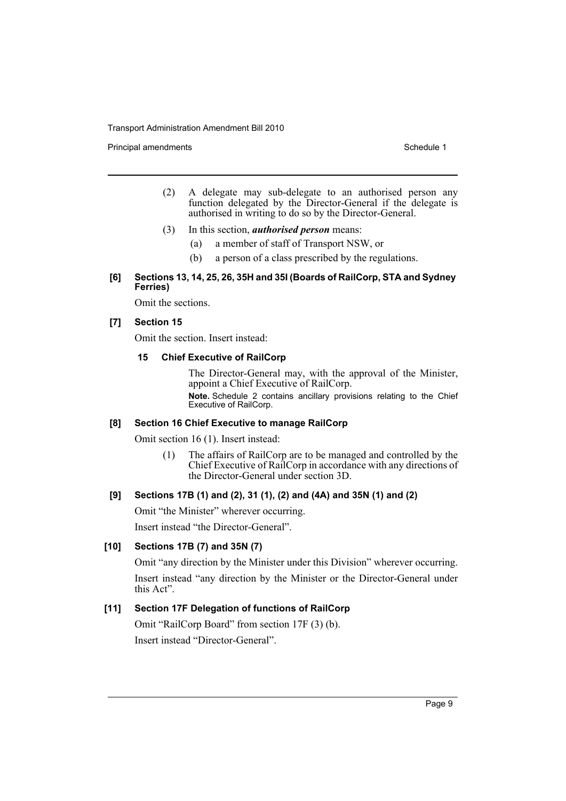**Principal amendments Schedule 1 Contract 2 Contract 2 Schedule 1 Schedule 1** 

- (2) A delegate may sub-delegate to an authorised person any function delegated by the Director-General if the delegate is authorised in writing to do so by the Director-General.
- (3) In this section, *authorised person* means:
	- (a) a member of staff of Transport NSW, or
	- (b) a person of a class prescribed by the regulations.
- **[6] Sections 13, 14, 25, 26, 35H and 35I (Boards of RailCorp, STA and Sydney Ferries)**

Omit the sections.

#### **[7] Section 15**

Omit the section. Insert instead:

#### **15 Chief Executive of RailCorp**

The Director-General may, with the approval of the Minister, appoint a Chief Executive of RailCorp.

**Note.** Schedule 2 contains ancillary provisions relating to the Chief Executive of RailCorp.

#### **[8] Section 16 Chief Executive to manage RailCorp**

Omit section 16 (1). Insert instead:

(1) The affairs of RailCorp are to be managed and controlled by the Chief Executive of RailCorp in accordance with any directions of the Director-General under section 3D.

#### **[9] Sections 17B (1) and (2), 31 (1), (2) and (4A) and 35N (1) and (2)**

Omit "the Minister" wherever occurring.

Insert instead "the Director-General".

#### **[10] Sections 17B (7) and 35N (7)**

Omit "any direction by the Minister under this Division" wherever occurring.

Insert instead "any direction by the Minister or the Director-General under this Act".

#### **[11] Section 17F Delegation of functions of RailCorp**

Omit "RailCorp Board" from section 17F (3) (b). Insert instead "Director-General".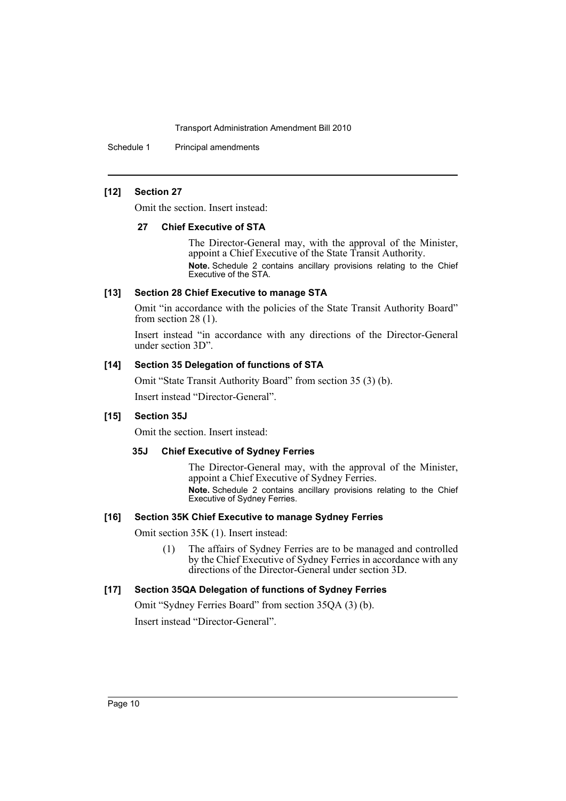Schedule 1 Principal amendments

#### **[12] Section 27**

Omit the section. Insert instead:

#### **27 Chief Executive of STA**

The Director-General may, with the approval of the Minister, appoint a Chief Executive of the State Transit Authority. **Note.** Schedule 2 contains ancillary provisions relating to the Chief Executive of the STA.

#### **[13] Section 28 Chief Executive to manage STA**

Omit "in accordance with the policies of the State Transit Authority Board" from section 28 (1).

Insert instead "in accordance with any directions of the Director-General under section 3D".

#### **[14] Section 35 Delegation of functions of STA**

Omit "State Transit Authority Board" from section 35 (3) (b).

Insert instead "Director-General".

#### **[15] Section 35J**

Omit the section. Insert instead:

#### **35J Chief Executive of Sydney Ferries**

The Director-General may, with the approval of the Minister, appoint a Chief Executive of Sydney Ferries. **Note.** Schedule 2 contains ancillary provisions relating to the Chief Executive of Sydney Ferries.

#### **[16] Section 35K Chief Executive to manage Sydney Ferries**

Omit section 35K (1). Insert instead:

(1) The affairs of Sydney Ferries are to be managed and controlled by the Chief Executive of Sydney Ferries in accordance with any directions of the Director-General under section 3D.

#### **[17] Section 35QA Delegation of functions of Sydney Ferries**

Omit "Sydney Ferries Board" from section 35QA (3) (b).

Insert instead "Director-General".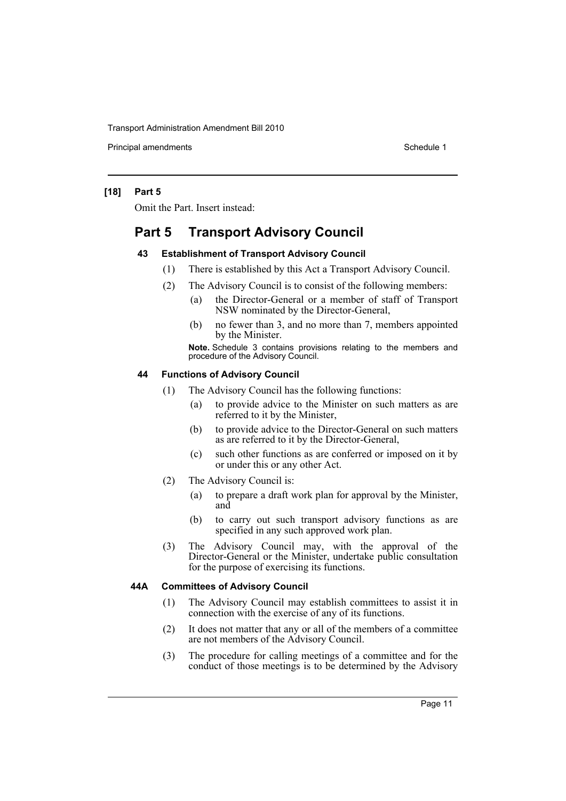**Principal amendments Schedule 1 Contract 2 Contract 2 Schedule 1 Schedule 1** 

#### **[18] Part 5**

Omit the Part. Insert instead:

### **Part 5 Transport Advisory Council**

#### **43 Establishment of Transport Advisory Council**

- (1) There is established by this Act a Transport Advisory Council.
- (2) The Advisory Council is to consist of the following members:
	- (a) the Director-General or a member of staff of Transport NSW nominated by the Director-General,
	- (b) no fewer than 3, and no more than 7, members appointed by the Minister.

**Note.** Schedule 3 contains provisions relating to the members and procedure of the Advisory Council.

#### **44 Functions of Advisory Council**

- (1) The Advisory Council has the following functions:
	- (a) to provide advice to the Minister on such matters as are referred to it by the Minister,
	- (b) to provide advice to the Director-General on such matters as are referred to it by the Director-General,
	- (c) such other functions as are conferred or imposed on it by or under this or any other Act.
- (2) The Advisory Council is:
	- (a) to prepare a draft work plan for approval by the Minister, and
	- (b) to carry out such transport advisory functions as are specified in any such approved work plan.
- (3) The Advisory Council may, with the approval of the Director-General or the Minister, undertake public consultation for the purpose of exercising its functions.

#### **44A Committees of Advisory Council**

- (1) The Advisory Council may establish committees to assist it in connection with the exercise of any of its functions.
- (2) It does not matter that any or all of the members of a committee are not members of the Advisory Council.
- (3) The procedure for calling meetings of a committee and for the conduct of those meetings is to be determined by the Advisory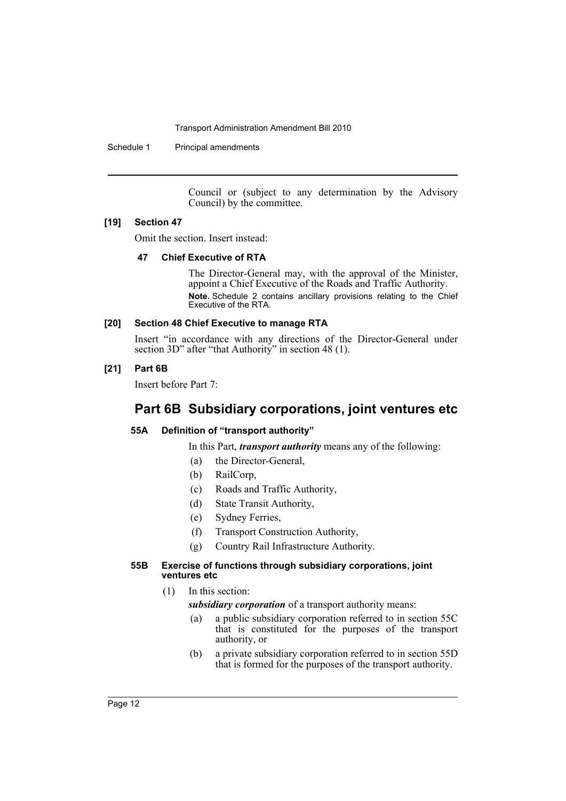Schedule 1 Principal amendments

Council or (subject to any determination by the Advisory Council) by the committee.

#### **[19] Section 47**

Omit the section. Insert instead:

#### **47 Chief Executive of RTA**

The Director-General may, with the approval of the Minister, appoint a Chief Executive of the Roads and Traffic Authority. **Note.** Schedule 2 contains ancillary provisions relating to the Chief Executive of the RTA.

#### **[20] Section 48 Chief Executive to manage RTA**

Insert "in accordance with any directions of the Director-General under section 3D" after "that Authority" in section 48 (1).

#### **[21] Part 6B**

Insert before Part 7:

### **Part 6B Subsidiary corporations, joint ventures etc**

#### **55A Definition of "transport authority"**

In this Part, *transport authority* means any of the following:

- (a) the Director-General,
- (b) RailCorp,
- (c) Roads and Traffic Authority,
- (d) State Transit Authority,
- (e) Sydney Ferries,
- (f) Transport Construction Authority,
- (g) Country Rail Infrastructure Authority.

#### **55B Exercise of functions through subsidiary corporations, joint ventures etc**

(1) In this section:

*subsidiary corporation* of a transport authority means:

- (a) a public subsidiary corporation referred to in section 55C that is constituted for the purposes of the transport authority, or
- (b) a private subsidiary corporation referred to in section 55D that is formed for the purposes of the transport authority.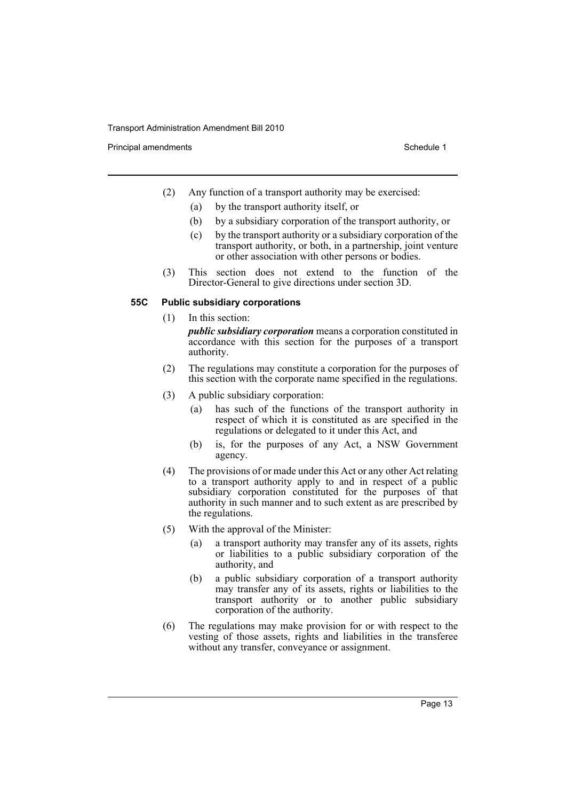Principal amendments **Schedule 1** and the set of the set of the Schedule 1 and the Schedule 1

- (2) Any function of a transport authority may be exercised:
	- (a) by the transport authority itself, or
	- (b) by a subsidiary corporation of the transport authority, or
	- (c) by the transport authority or a subsidiary corporation of the transport authority, or both, in a partnership, joint venture or other association with other persons or bodies.
- (3) This section does not extend to the function of the Director-General to give directions under section 3D.

#### **55C Public subsidiary corporations**

- (1) In this section: *public subsidiary corporation* means a corporation constituted in accordance with this section for the purposes of a transport authority.
- (2) The regulations may constitute a corporation for the purposes of this section with the corporate name specified in the regulations.
- (3) A public subsidiary corporation:
	- (a) has such of the functions of the transport authority in respect of which it is constituted as are specified in the regulations or delegated to it under this Act, and
	- (b) is, for the purposes of any Act, a NSW Government agency.
- (4) The provisions of or made under this Act or any other Act relating to a transport authority apply to and in respect of a public subsidiary corporation constituted for the purposes of that authority in such manner and to such extent as are prescribed by the regulations.
- (5) With the approval of the Minister:
	- (a) a transport authority may transfer any of its assets, rights or liabilities to a public subsidiary corporation of the authority, and
	- (b) a public subsidiary corporation of a transport authority may transfer any of its assets, rights or liabilities to the transport authority or to another public subsidiary corporation of the authority.
- (6) The regulations may make provision for or with respect to the vesting of those assets, rights and liabilities in the transferee without any transfer, conveyance or assignment.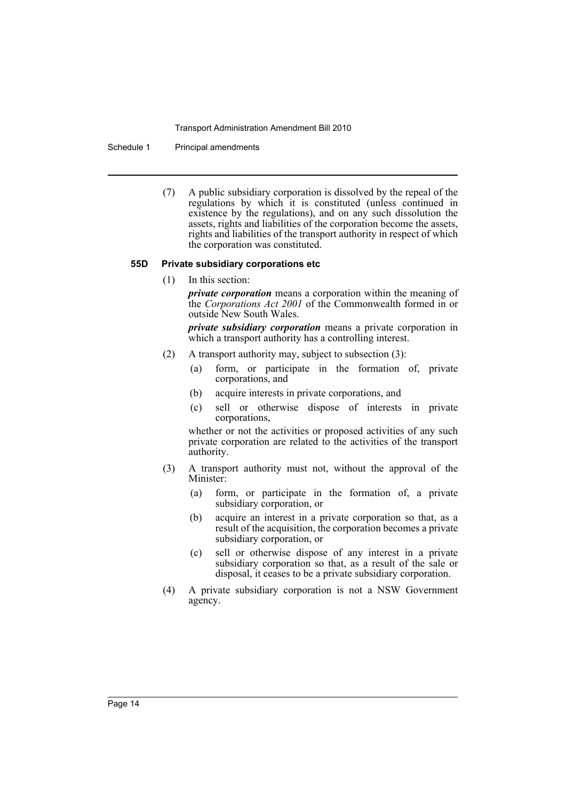Schedule 1 Principal amendments

(7) A public subsidiary corporation is dissolved by the repeal of the regulations by which it is constituted (unless continued in existence by the regulations), and on any such dissolution the assets, rights and liabilities of the corporation become the assets, rights and liabilities of the transport authority in respect of which the corporation was constituted.

#### **55D Private subsidiary corporations etc**

(1) In this section:

*private corporation* means a corporation within the meaning of the *Corporations Act 2001* of the Commonwealth formed in or outside New South Wales.

*private subsidiary corporation* means a private corporation in which a transport authority has a controlling interest.

- (2) A transport authority may, subject to subsection (3):
	- (a) form, or participate in the formation of, private corporations, and
	- (b) acquire interests in private corporations, and
	- (c) sell or otherwise dispose of interests in private corporations,

whether or not the activities or proposed activities of any such private corporation are related to the activities of the transport authority.

- (3) A transport authority must not, without the approval of the Minister:
	- (a) form, or participate in the formation of, a private subsidiary corporation, or
	- (b) acquire an interest in a private corporation so that, as a result of the acquisition, the corporation becomes a private subsidiary corporation, or
	- (c) sell or otherwise dispose of any interest in a private subsidiary corporation so that, as a result of the sale or disposal, it ceases to be a private subsidiary corporation.
- (4) A private subsidiary corporation is not a NSW Government agency.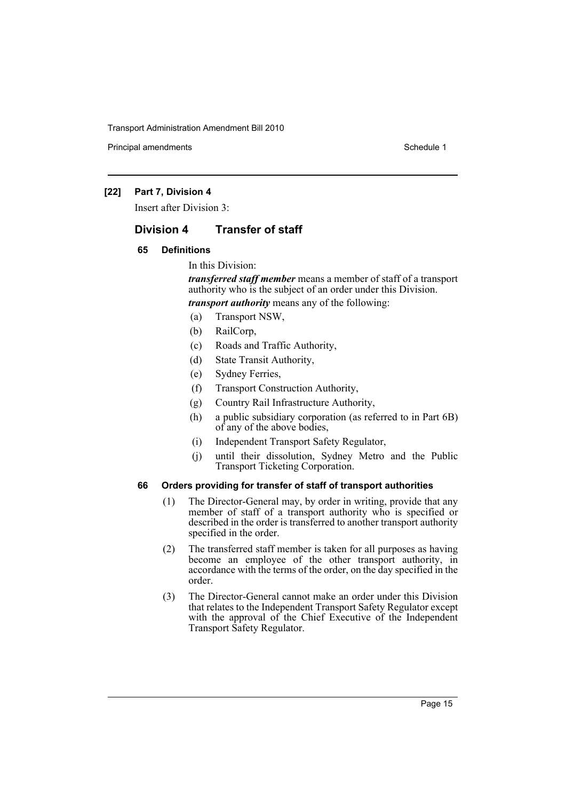**Principal amendments Schedule 1 Contract 2 Contract 2 Schedule 1 Schedule 1** 

#### **[22] Part 7, Division 4**

Insert after Division 3:

### **Division 4 Transfer of staff**

#### **65 Definitions**

In this Division:

*transferred staff member* means a member of staff of a transport authority who is the subject of an order under this Division. *transport authority* means any of the following:

- (a) Transport NSW,
- (b) RailCorp,
- (c) Roads and Traffic Authority,
- (d) State Transit Authority,
- (e) Sydney Ferries,
- (f) Transport Construction Authority,
- (g) Country Rail Infrastructure Authority,
- (h) a public subsidiary corporation (as referred to in Part 6B) of any of the above bodies,
- (i) Independent Transport Safety Regulator,
- (j) until their dissolution, Sydney Metro and the Public Transport Ticketing Corporation.

#### **66 Orders providing for transfer of staff of transport authorities**

- (1) The Director-General may, by order in writing, provide that any member of staff of a transport authority who is specified or described in the order is transferred to another transport authority specified in the order.
- (2) The transferred staff member is taken for all purposes as having become an employee of the other transport authority, in accordance with the terms of the order, on the day specified in the order.
- (3) The Director-General cannot make an order under this Division that relates to the Independent Transport Safety Regulator except with the approval of the Chief Executive of the Independent Transport Safety Regulator.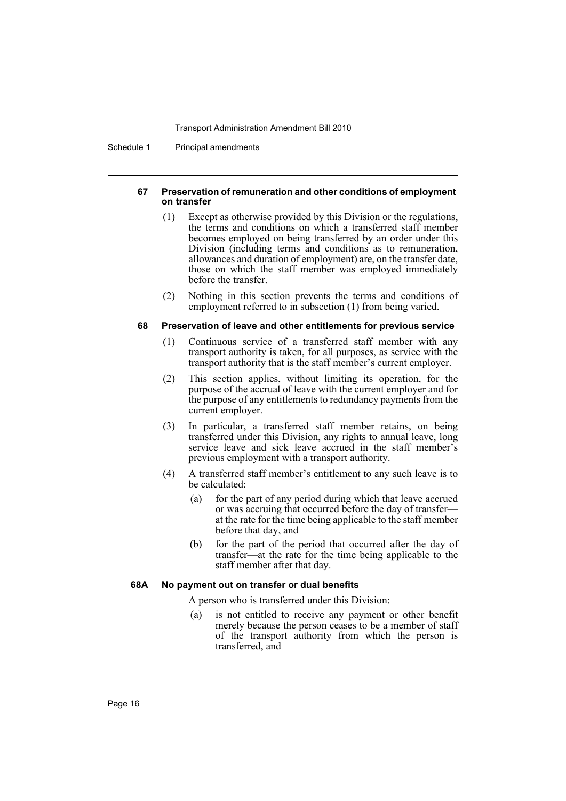Schedule 1 Principal amendments

#### **67 Preservation of remuneration and other conditions of employment on transfer**

- (1) Except as otherwise provided by this Division or the regulations, the terms and conditions on which a transferred staff member becomes employed on being transferred by an order under this Division (including terms and conditions as to remuneration, allowances and duration of employment) are, on the transfer date, those on which the staff member was employed immediately before the transfer.
- (2) Nothing in this section prevents the terms and conditions of employment referred to in subsection (1) from being varied.

#### **68 Preservation of leave and other entitlements for previous service**

- (1) Continuous service of a transferred staff member with any transport authority is taken, for all purposes, as service with the transport authority that is the staff member's current employer.
- (2) This section applies, without limiting its operation, for the purpose of the accrual of leave with the current employer and for the purpose of any entitlements to redundancy payments from the current employer.
- (3) In particular, a transferred staff member retains, on being transferred under this Division, any rights to annual leave, long service leave and sick leave accrued in the staff member's previous employment with a transport authority.
- (4) A transferred staff member's entitlement to any such leave is to be calculated:
	- (a) for the part of any period during which that leave accrued or was accruing that occurred before the day of transfer at the rate for the time being applicable to the staff member before that day, and
	- (b) for the part of the period that occurred after the day of transfer—at the rate for the time being applicable to the staff member after that day.

#### **68A No payment out on transfer or dual benefits**

A person who is transferred under this Division:

(a) is not entitled to receive any payment or other benefit merely because the person ceases to be a member of staff of the transport authority from which the person is transferred, and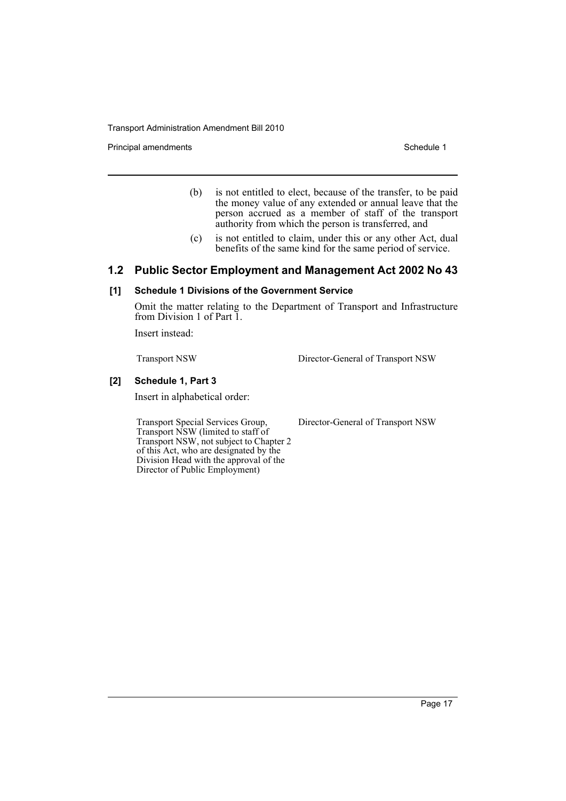Principal amendments **Schedule 1** Schedule 1

- (b) is not entitled to elect, because of the transfer, to be paid the money value of any extended or annual leave that the person accrued as a member of staff of the transport authority from which the person is transferred, and
- (c) is not entitled to claim, under this or any other Act, dual benefits of the same kind for the same period of service.

### **1.2 Public Sector Employment and Management Act 2002 No 43**

#### **[1] Schedule 1 Divisions of the Government Service**

Omit the matter relating to the Department of Transport and Infrastructure from Division 1 of Part 1.

Insert instead:

Transport NSW Director-General of Transport NSW

#### **[2] Schedule 1, Part 3**

Insert in alphabetical order:

Director of Public Employment)

Transport Special Services Group, Transport NSW (limited to staff of Transport NSW, not subject to Chapter 2 of this Act, who are designated by the Division Head with the approval of the

Director-General of Transport NSW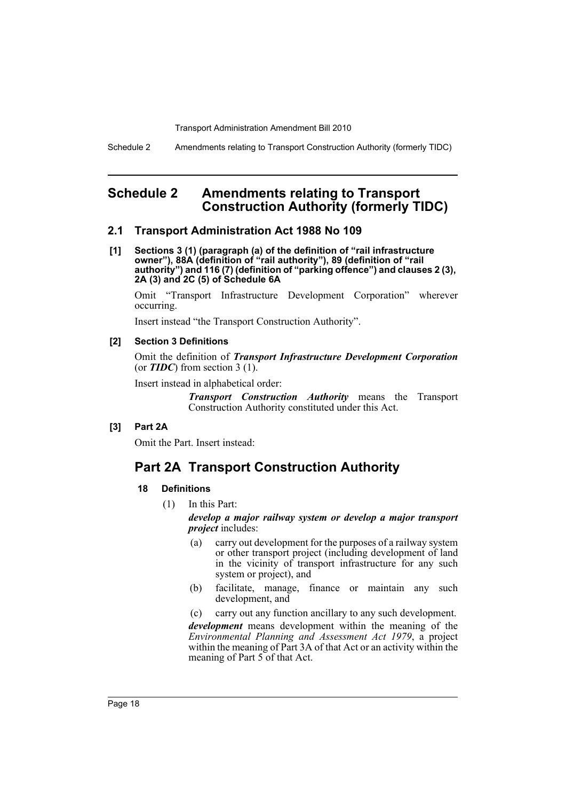Schedule 2 Amendments relating to Transport Construction Authority (formerly TIDC)

### <span id="page-18-0"></span>**Schedule 2 Amendments relating to Transport Construction Authority (formerly TIDC)**

#### **2.1 Transport Administration Act 1988 No 109**

**[1] Sections 3 (1) (paragraph (a) of the definition of "rail infrastructure owner"), 88A (definition of "rail authority"), 89 (definition of "rail authority") and 116 (7) (definition of "parking offence") and clauses 2 (3), 2A (3) and 2C (5) of Schedule 6A** 

Omit "Transport Infrastructure Development Corporation" wherever occurring.

Insert instead "the Transport Construction Authority".

#### **[2] Section 3 Definitions**

Omit the definition of *Transport Infrastructure Development Corporation* (or *TIDC*) from section 3 (1).

Insert instead in alphabetical order:

*Transport Construction Authority* means the Transport Construction Authority constituted under this Act.

#### **[3] Part 2A**

Omit the Part. Insert instead:

### **Part 2A Transport Construction Authority**

#### **18 Definitions**

(1) In this Part:

*develop a major railway system or develop a major transport project* includes:

- (a) carry out development for the purposes of a railway system or other transport project (including development of land in the vicinity of transport infrastructure for any such system or project), and
- (b) facilitate, manage, finance or maintain any such development, and
- (c) carry out any function ancillary to any such development.

*development* means development within the meaning of the *Environmental Planning and Assessment Act 1979*, a project within the meaning of Part 3A of that Act or an activity within the meaning of Part 5 of that Act.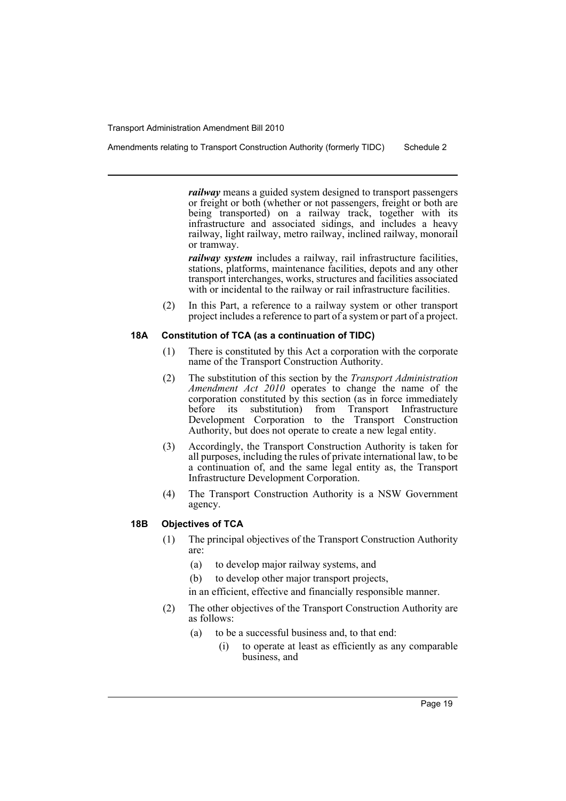*railway* means a guided system designed to transport passengers or freight or both (whether or not passengers, freight or both are being transported) on a railway track, together with its infrastructure and associated sidings, and includes a heavy railway, light railway, metro railway, inclined railway, monorail or tramway.

*railway system* includes a railway, rail infrastructure facilities, stations, platforms, maintenance facilities, depots and any other transport interchanges, works, structures and facilities associated with or incidental to the railway or rail infrastructure facilities.

(2) In this Part, a reference to a railway system or other transport project includes a reference to part of a system or part of a project.

#### **18A Constitution of TCA (as a continuation of TIDC)**

- (1) There is constituted by this Act a corporation with the corporate name of the Transport Construction Authority.
- (2) The substitution of this section by the *Transport Administration Amendment Act 2010* operates to change the name of the corporation constituted by this section (as in force immediately before its substitution) from Transport Infrastructure Development Corporation to the Transport Construction Authority, but does not operate to create a new legal entity.
- (3) Accordingly, the Transport Construction Authority is taken for all purposes, including the rules of private international law, to be a continuation of, and the same legal entity as, the Transport Infrastructure Development Corporation.
- (4) The Transport Construction Authority is a NSW Government agency.

#### **18B Objectives of TCA**

- (1) The principal objectives of the Transport Construction Authority are:
	- (a) to develop major railway systems, and
	- (b) to develop other major transport projects,

in an efficient, effective and financially responsible manner.

- (2) The other objectives of the Transport Construction Authority are as follows:
	- (a) to be a successful business and, to that end:
		- (i) to operate at least as efficiently as any comparable business, and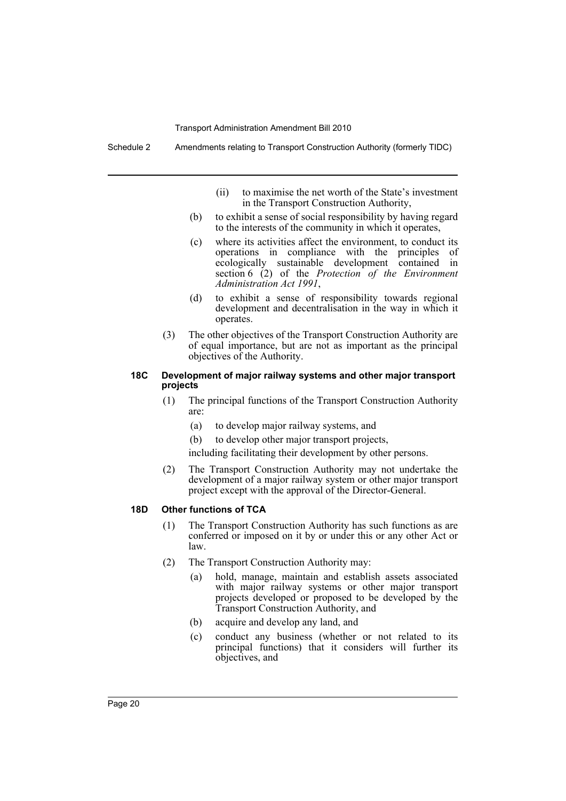Schedule 2 Amendments relating to Transport Construction Authority (formerly TIDC)

- (ii) to maximise the net worth of the State's investment in the Transport Construction Authority,
- (b) to exhibit a sense of social responsibility by having regard to the interests of the community in which it operates,
- (c) where its activities affect the environment, to conduct its operations in compliance with the principles of ecologically sustainable development contained in section 6 (2) of the *Protection of the Environment Administration Act 1991*,
- (d) to exhibit a sense of responsibility towards regional development and decentralisation in the way in which it operates.
- (3) The other objectives of the Transport Construction Authority are of equal importance, but are not as important as the principal objectives of the Authority.

#### **18C Development of major railway systems and other major transport projects**

- (1) The principal functions of the Transport Construction Authority are:
	- (a) to develop major railway systems, and
	- (b) to develop other major transport projects,

including facilitating their development by other persons.

(2) The Transport Construction Authority may not undertake the development of a major railway system or other major transport project except with the approval of the Director-General.

#### **18D Other functions of TCA**

- (1) The Transport Construction Authority has such functions as are conferred or imposed on it by or under this or any other Act or law.
- (2) The Transport Construction Authority may:
	- (a) hold, manage, maintain and establish assets associated with major railway systems or other major transport projects developed or proposed to be developed by the Transport Construction Authority, and
	- (b) acquire and develop any land, and
	- (c) conduct any business (whether or not related to its principal functions) that it considers will further its objectives, and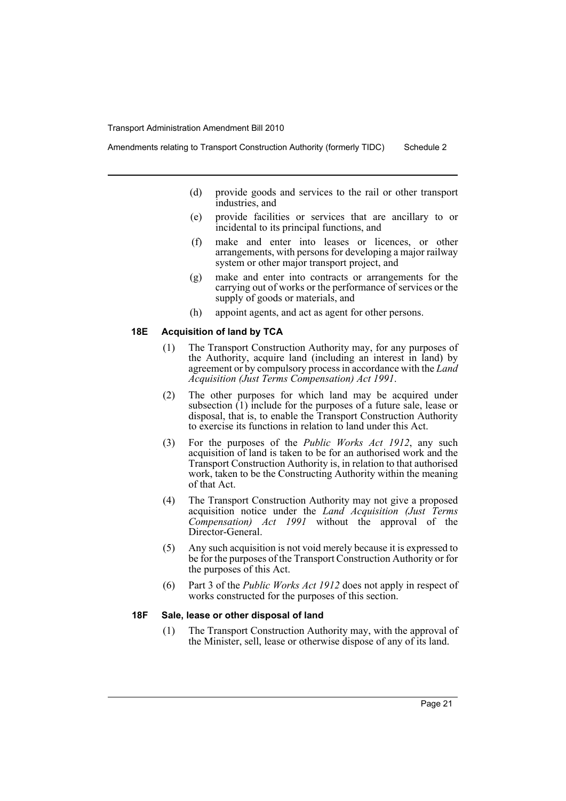- (d) provide goods and services to the rail or other transport industries, and
- (e) provide facilities or services that are ancillary to or incidental to its principal functions, and
- (f) make and enter into leases or licences, or other arrangements, with persons for developing a major railway system or other major transport project, and
- (g) make and enter into contracts or arrangements for the carrying out of works or the performance of services or the supply of goods or materials, and
- (h) appoint agents, and act as agent for other persons.

#### **18E Acquisition of land by TCA**

- (1) The Transport Construction Authority may, for any purposes of the Authority, acquire land (including an interest in land) by agreement or by compulsory process in accordance with the *Land Acquisition (Just Terms Compensation) Act 1991*.
- (2) The other purposes for which land may be acquired under subsection (1) include for the purposes of a future sale, lease or disposal, that is, to enable the Transport Construction Authority to exercise its functions in relation to land under this Act.
- (3) For the purposes of the *Public Works Act 1912*, any such acquisition of land is taken to be for an authorised work and the Transport Construction Authority is, in relation to that authorised work, taken to be the Constructing Authority within the meaning of that Act.
- (4) The Transport Construction Authority may not give a proposed acquisition notice under the *Land Acquisition (Just Terms Compensation) Act 1991* without the approval of the Director-General.
- (5) Any such acquisition is not void merely because it is expressed to be for the purposes of the Transport Construction Authority or for the purposes of this Act.
- (6) Part 3 of the *Public Works Act 1912* does not apply in respect of works constructed for the purposes of this section.

#### **18F Sale, lease or other disposal of land**

(1) The Transport Construction Authority may, with the approval of the Minister, sell, lease or otherwise dispose of any of its land.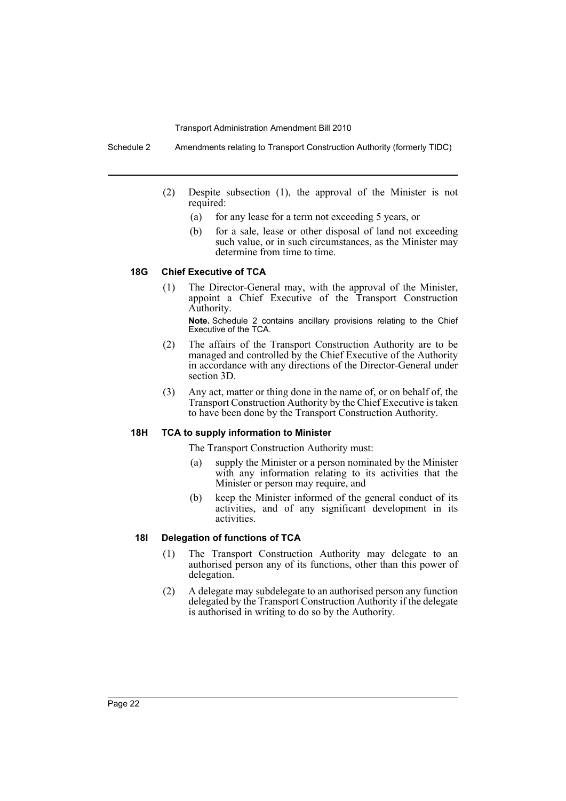- (2) Despite subsection (1), the approval of the Minister is not required:
	- (a) for any lease for a term not exceeding 5 years, or
	- (b) for a sale, lease or other disposal of land not exceeding such value, or in such circumstances, as the Minister may determine from time to time.

#### **18G Chief Executive of TCA**

(1) The Director-General may, with the approval of the Minister, appoint a Chief Executive of the Transport Construction Authority.

**Note.** Schedule 2 contains ancillary provisions relating to the Chief Executive of the TCA.

- (2) The affairs of the Transport Construction Authority are to be managed and controlled by the Chief Executive of the Authority in accordance with any directions of the Director-General under section 3D.
- (3) Any act, matter or thing done in the name of, or on behalf of, the Transport Construction Authority by the Chief Executive is taken to have been done by the Transport Construction Authority.

#### **18H TCA to supply information to Minister**

The Transport Construction Authority must:

- (a) supply the Minister or a person nominated by the Minister with any information relating to its activities that the Minister or person may require, and
- (b) keep the Minister informed of the general conduct of its activities, and of any significant development in its activities.

#### **18I Delegation of functions of TCA**

- (1) The Transport Construction Authority may delegate to an authorised person any of its functions, other than this power of delegation.
- (2) A delegate may subdelegate to an authorised person any function delegated by the Transport Construction Authority if the delegate is authorised in writing to do so by the Authority.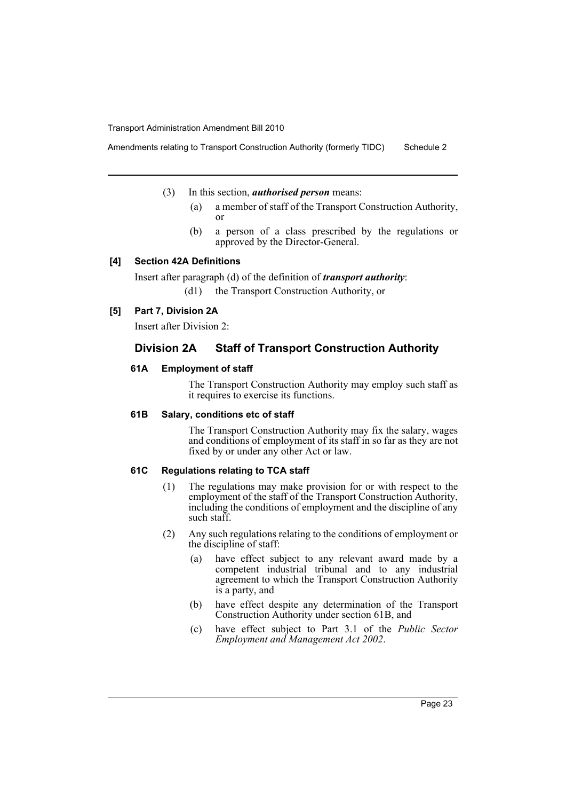- (3) In this section, *authorised person* means:
	- (a) a member of staff of the Transport Construction Authority, or
	- (b) a person of a class prescribed by the regulations or approved by the Director-General.

#### **[4] Section 42A Definitions**

Insert after paragraph (d) of the definition of *transport authority*:

(d1) the Transport Construction Authority, or

### **[5] Part 7, Division 2A**

Insert after Division 2:

### **Division 2A Staff of Transport Construction Authority**

#### **61A Employment of staff**

The Transport Construction Authority may employ such staff as it requires to exercise its functions.

#### **61B Salary, conditions etc of staff**

The Transport Construction Authority may fix the salary, wages and conditions of employment of its staff in so far as they are not fixed by or under any other Act or law.

#### **61C Regulations relating to TCA staff**

- (1) The regulations may make provision for or with respect to the employment of the staff of the Transport Construction Authority, including the conditions of employment and the discipline of any such staff.
- (2) Any such regulations relating to the conditions of employment or the discipline of staff:
	- (a) have effect subject to any relevant award made by a competent industrial tribunal and to any industrial agreement to which the Transport Construction Authority is a party, and
	- (b) have effect despite any determination of the Transport Construction Authority under section 61B, and
	- (c) have effect subject to Part 3.1 of the *Public Sector Employment and Management Act 2002*.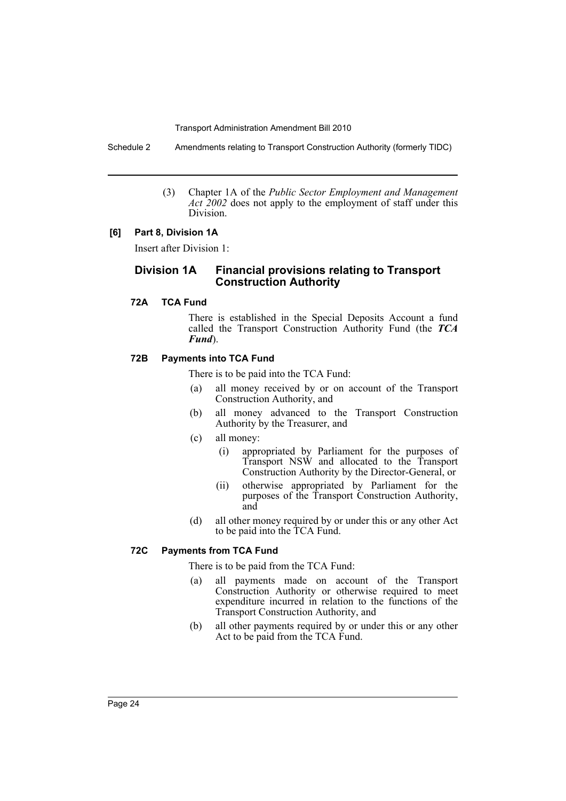Schedule 2 Amendments relating to Transport Construction Authority (formerly TIDC)

(3) Chapter 1A of the *Public Sector Employment and Management* Act 2002 does not apply to the employment of staff under this Division.

#### **[6] Part 8, Division 1A**

Insert after Division 1:

#### **Division 1A Financial provisions relating to Transport Construction Authority**

#### **72A TCA Fund**

There is established in the Special Deposits Account a fund called the Transport Construction Authority Fund (the *TCA Fund*).

#### **72B Payments into TCA Fund**

There is to be paid into the TCA Fund:

- (a) all money received by or on account of the Transport Construction Authority, and
- (b) all money advanced to the Transport Construction Authority by the Treasurer, and
- (c) all money:
	- (i) appropriated by Parliament for the purposes of Transport NSW and allocated to the Transport Construction Authority by the Director-General, or
	- (ii) otherwise appropriated by Parliament for the purposes of the Transport Construction Authority, and
- (d) all other money required by or under this or any other Act to be paid into the TCA Fund.

#### **72C Payments from TCA Fund**

There is to be paid from the TCA Fund:

- (a) all payments made on account of the Transport Construction Authority or otherwise required to meet expenditure incurred in relation to the functions of the Transport Construction Authority, and
- (b) all other payments required by or under this or any other Act to be paid from the TCA Fund.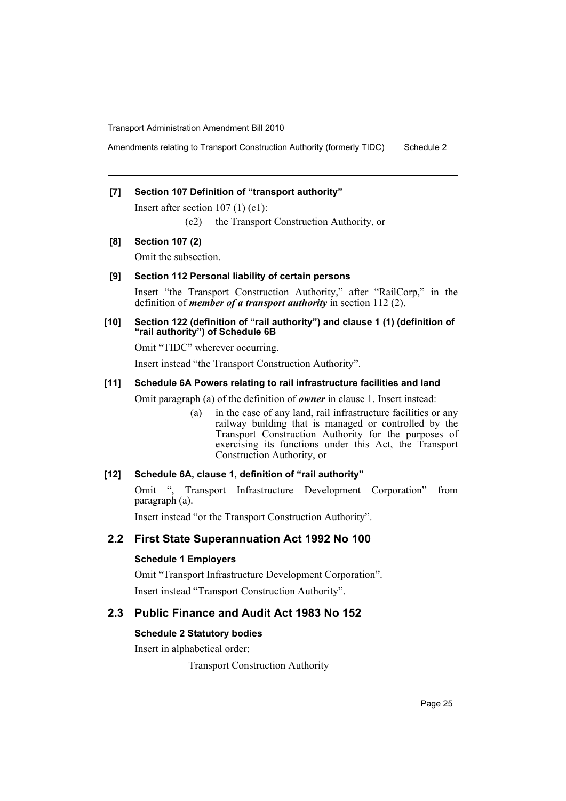Amendments relating to Transport Construction Authority (formerly TIDC) Schedule 2

#### **[7] Section 107 Definition of "transport authority"**

Insert after section 107 (1) (c1):

(c2) the Transport Construction Authority, or

#### **[8] Section 107 (2)**

Omit the subsection.

#### **[9] Section 112 Personal liability of certain persons**

Insert "the Transport Construction Authority," after "RailCorp," in the definition of *member of a transport authority* in section 112 (2).

#### **[10] Section 122 (definition of "rail authority") and clause 1 (1) (definition of "rail authority") of Schedule 6B**

Omit "TIDC" wherever occurring.

Insert instead "the Transport Construction Authority".

#### **[11] Schedule 6A Powers relating to rail infrastructure facilities and land**

Omit paragraph (a) of the definition of *owner* in clause 1. Insert instead:

(a) in the case of any land, rail infrastructure facilities or any railway building that is managed or controlled by the Transport Construction Authority for the purposes of exercising its functions under this Act, the Transport Construction Authority, or

#### **[12] Schedule 6A, clause 1, definition of "rail authority"**

Omit ", Transport Infrastructure Development Corporation" from paragraph (a).

Insert instead "or the Transport Construction Authority".

#### **2.2 First State Superannuation Act 1992 No 100**

#### **Schedule 1 Employers**

Omit "Transport Infrastructure Development Corporation". Insert instead "Transport Construction Authority".

#### **2.3 Public Finance and Audit Act 1983 No 152**

#### **Schedule 2 Statutory bodies**

Insert in alphabetical order:

Transport Construction Authority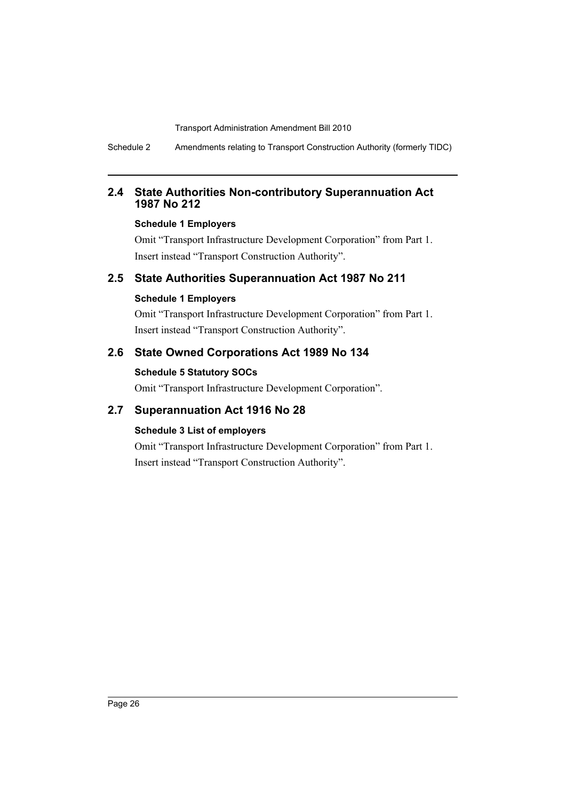Schedule 2 Amendments relating to Transport Construction Authority (formerly TIDC)

### **2.4 State Authorities Non-contributory Superannuation Act 1987 No 212**

#### **Schedule 1 Employers**

Omit "Transport Infrastructure Development Corporation" from Part 1. Insert instead "Transport Construction Authority".

### **2.5 State Authorities Superannuation Act 1987 No 211**

### **Schedule 1 Employers**

Omit "Transport Infrastructure Development Corporation" from Part 1. Insert instead "Transport Construction Authority".

### **2.6 State Owned Corporations Act 1989 No 134**

### **Schedule 5 Statutory SOCs**

Omit "Transport Infrastructure Development Corporation".

### **2.7 Superannuation Act 1916 No 28**

### **Schedule 3 List of employers**

Omit "Transport Infrastructure Development Corporation" from Part 1. Insert instead "Transport Construction Authority".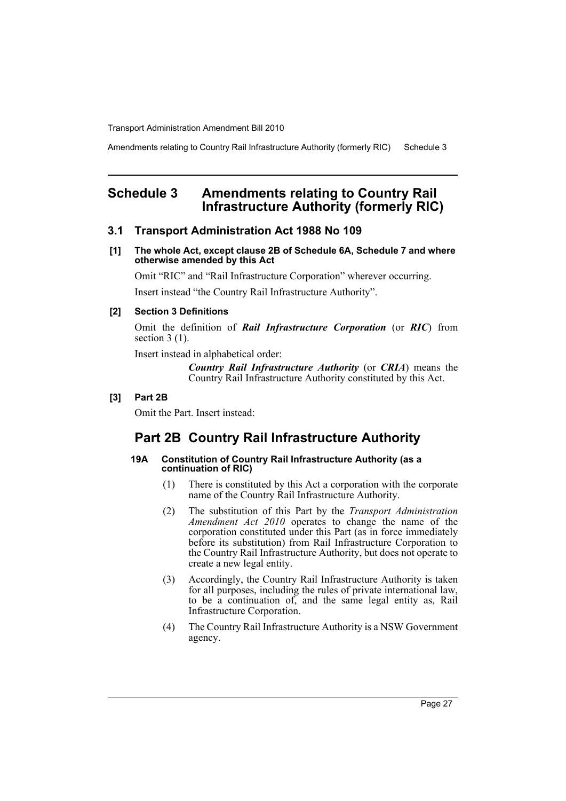Amendments relating to Country Rail Infrastructure Authority (formerly RIC) Schedule 3

### <span id="page-27-0"></span>**Schedule 3 Amendments relating to Country Rail Infrastructure Authority (formerly RIC)**

#### **3.1 Transport Administration Act 1988 No 109**

**[1] The whole Act, except clause 2B of Schedule 6A, Schedule 7 and where otherwise amended by this Act**

Omit "RIC" and "Rail Infrastructure Corporation" wherever occurring.

Insert instead "the Country Rail Infrastructure Authority".

#### **[2] Section 3 Definitions**

Omit the definition of *Rail Infrastructure Corporation* (or *RIC*) from section  $3(1)$ .

Insert instead in alphabetical order:

*Country Rail Infrastructure Authority* (or *CRIA*) means the Country Rail Infrastructure Authority constituted by this Act.

#### **[3] Part 2B**

Omit the Part. Insert instead:

### **Part 2B Country Rail Infrastructure Authority**

#### **19A Constitution of Country Rail Infrastructure Authority (as a continuation of RIC)**

- (1) There is constituted by this Act a corporation with the corporate name of the Country Rail Infrastructure Authority.
- (2) The substitution of this Part by the *Transport Administration Amendment Act 2010* operates to change the name of the corporation constituted under this Part (as in force immediately before its substitution) from Rail Infrastructure Corporation to the Country Rail Infrastructure Authority, but does not operate to create a new legal entity.
- (3) Accordingly, the Country Rail Infrastructure Authority is taken for all purposes, including the rules of private international law, to be a continuation of, and the same legal entity as, Rail Infrastructure Corporation.
- (4) The Country Rail Infrastructure Authority is a NSW Government agency.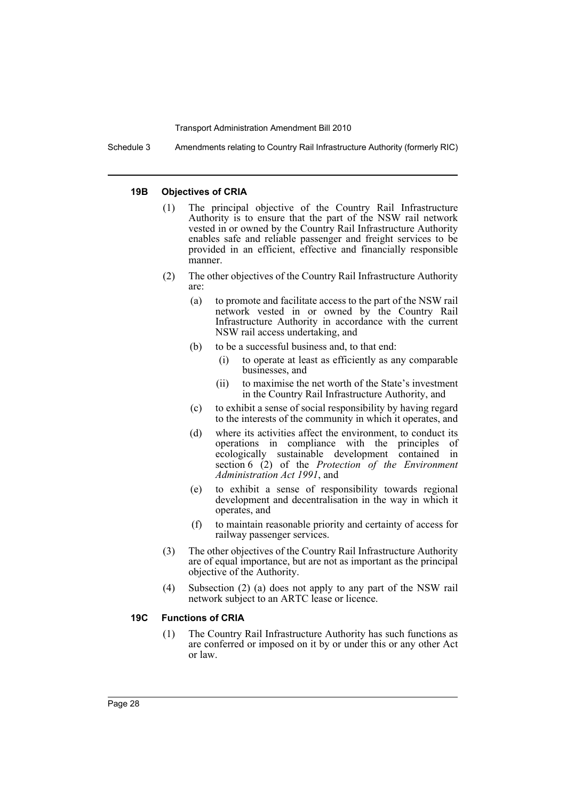Schedule 3 Amendments relating to Country Rail Infrastructure Authority (formerly RIC)

#### **19B Objectives of CRIA**

- (1) The principal objective of the Country Rail Infrastructure Authority is to ensure that the part of the NSW rail network vested in or owned by the Country Rail Infrastructure Authority enables safe and reliable passenger and freight services to be provided in an efficient, effective and financially responsible manner.
- (2) The other objectives of the Country Rail Infrastructure Authority are:
	- (a) to promote and facilitate access to the part of the NSW rail network vested in or owned by the Country Rail Infrastructure Authority in accordance with the current NSW rail access undertaking, and
	- (b) to be a successful business and, to that end:
		- (i) to operate at least as efficiently as any comparable businesses, and
		- (ii) to maximise the net worth of the State's investment in the Country Rail Infrastructure Authority, and
	- (c) to exhibit a sense of social responsibility by having regard to the interests of the community in which it operates, and
	- (d) where its activities affect the environment, to conduct its operations in compliance with the principles of ecologically sustainable development contained in section 6 (2) of the *Protection of the Environment Administration Act 1991*, and
	- (e) to exhibit a sense of responsibility towards regional development and decentralisation in the way in which it operates, and
	- (f) to maintain reasonable priority and certainty of access for railway passenger services.
- (3) The other objectives of the Country Rail Infrastructure Authority are of equal importance, but are not as important as the principal objective of the Authority.
- (4) Subsection (2) (a) does not apply to any part of the NSW rail network subject to an ARTC lease or licence.

#### **19C Functions of CRIA**

(1) The Country Rail Infrastructure Authority has such functions as are conferred or imposed on it by or under this or any other Act or law.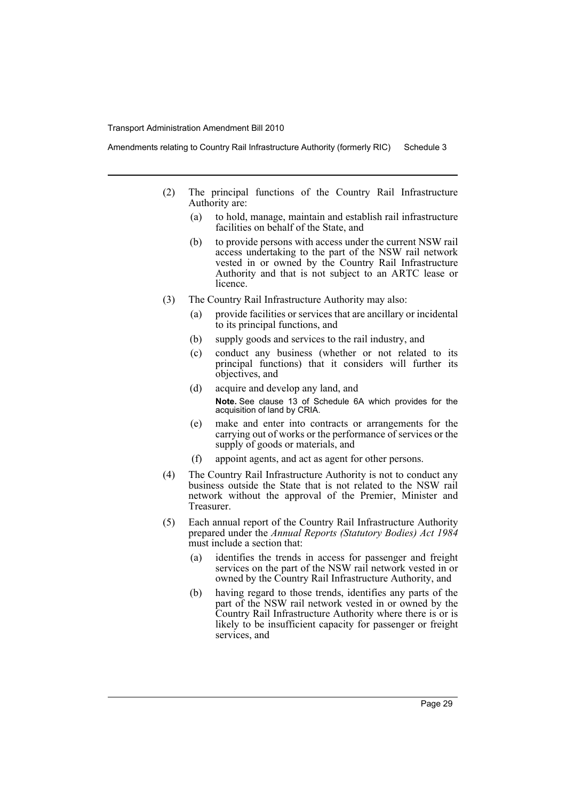Amendments relating to Country Rail Infrastructure Authority (formerly RIC) Schedule 3

- (2) The principal functions of the Country Rail Infrastructure Authority are:
	- (a) to hold, manage, maintain and establish rail infrastructure facilities on behalf of the State, and
	- (b) to provide persons with access under the current NSW rail access undertaking to the part of the NSW rail network vested in or owned by the Country Rail Infrastructure Authority and that is not subject to an ARTC lease or licence.
- (3) The Country Rail Infrastructure Authority may also:
	- (a) provide facilities or services that are ancillary or incidental to its principal functions, and
	- (b) supply goods and services to the rail industry, and
	- (c) conduct any business (whether or not related to its principal functions) that it considers will further its objectives, and
	- (d) acquire and develop any land, and **Note.** See clause 13 of Schedule 6A which provides for the acquisition of land by CRIA.
	- (e) make and enter into contracts or arrangements for the carrying out of works or the performance of services or the supply of goods or materials, and
	- (f) appoint agents, and act as agent for other persons.
- (4) The Country Rail Infrastructure Authority is not to conduct any business outside the State that is not related to the NSW rail network without the approval of the Premier, Minister and Treasurer.
- (5) Each annual report of the Country Rail Infrastructure Authority prepared under the *Annual Reports (Statutory Bodies) Act 1984* must include a section that:
	- (a) identifies the trends in access for passenger and freight services on the part of the NSW rail network vested in or owned by the Country Rail Infrastructure Authority, and
	- (b) having regard to those trends, identifies any parts of the part of the NSW rail network vested in or owned by the Country Rail Infrastructure Authority where there is or is likely to be insufficient capacity for passenger or freight services, and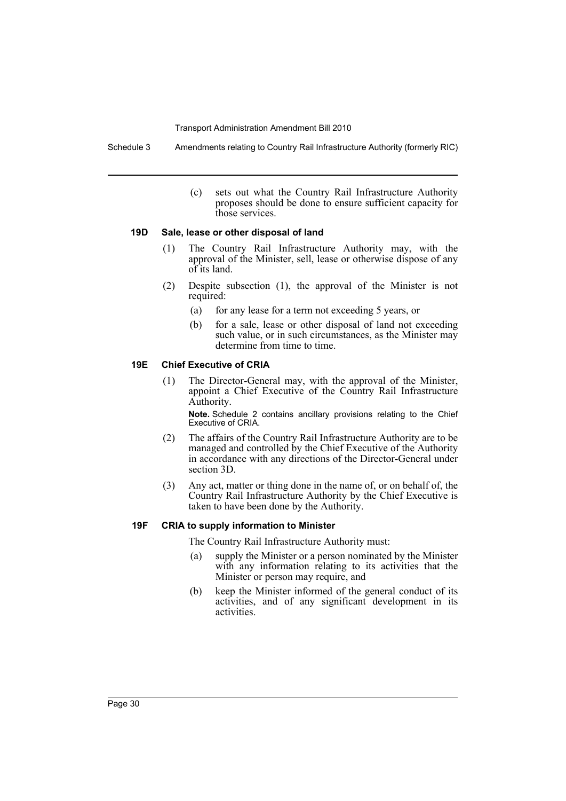Schedule 3 Amendments relating to Country Rail Infrastructure Authority (formerly RIC)

(c) sets out what the Country Rail Infrastructure Authority proposes should be done to ensure sufficient capacity for those services.

#### **19D Sale, lease or other disposal of land**

- (1) The Country Rail Infrastructure Authority may, with the approval of the Minister, sell, lease or otherwise dispose of any of its land.
- (2) Despite subsection (1), the approval of the Minister is not required:
	- (a) for any lease for a term not exceeding 5 years, or
	- (b) for a sale, lease or other disposal of land not exceeding such value, or in such circumstances, as the Minister may determine from time to time.

#### **19E Chief Executive of CRIA**

(1) The Director-General may, with the approval of the Minister, appoint a Chief Executive of the Country Rail Infrastructure Authority.

**Note.** Schedule 2 contains ancillary provisions relating to the Chief Executive of CRIA.

- (2) The affairs of the Country Rail Infrastructure Authority are to be managed and controlled by the Chief Executive of the Authority in accordance with any directions of the Director-General under section 3D.
- (3) Any act, matter or thing done in the name of, or on behalf of, the Country Rail Infrastructure Authority by the Chief Executive is taken to have been done by the Authority.

#### **19F CRIA to supply information to Minister**

The Country Rail Infrastructure Authority must:

- (a) supply the Minister or a person nominated by the Minister with any information relating to its activities that the Minister or person may require, and
- (b) keep the Minister informed of the general conduct of its activities, and of any significant development in its activities.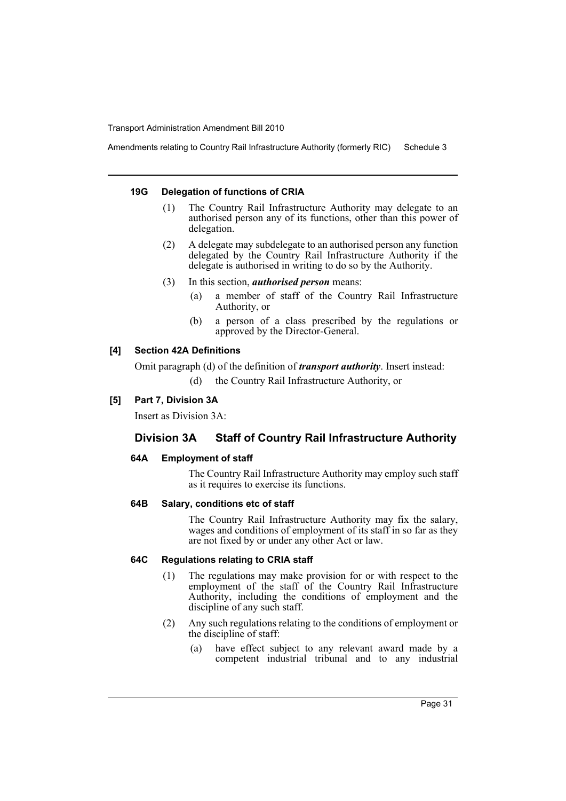Amendments relating to Country Rail Infrastructure Authority (formerly RIC) Schedule 3

#### **19G Delegation of functions of CRIA**

- (1) The Country Rail Infrastructure Authority may delegate to an authorised person any of its functions, other than this power of delegation.
- (2) A delegate may subdelegate to an authorised person any function delegated by the Country Rail Infrastructure Authority if the delegate is authorised in writing to do so by the Authority.
- (3) In this section, *authorised person* means:
	- (a) a member of staff of the Country Rail Infrastructure Authority, or
	- (b) a person of a class prescribed by the regulations or approved by the Director-General.

#### **[4] Section 42A Definitions**

Omit paragraph (d) of the definition of *transport authority*. Insert instead: (d) the Country Rail Infrastructure Authority, or

#### **[5] Part 7, Division 3A**

Insert as Division 3A:

### **Division 3A Staff of Country Rail Infrastructure Authority**

#### **64A Employment of staff**

The Country Rail Infrastructure Authority may employ such staff as it requires to exercise its functions.

#### **64B Salary, conditions etc of staff**

The Country Rail Infrastructure Authority may fix the salary, wages and conditions of employment of its staff in so far as they are not fixed by or under any other Act or law.

#### **64C Regulations relating to CRIA staff**

- (1) The regulations may make provision for or with respect to the employment of the staff of the Country Rail Infrastructure Authority, including the conditions of employment and the discipline of any such staff.
- (2) Any such regulations relating to the conditions of employment or the discipline of staff:
	- (a) have effect subject to any relevant award made by a competent industrial tribunal and to any industrial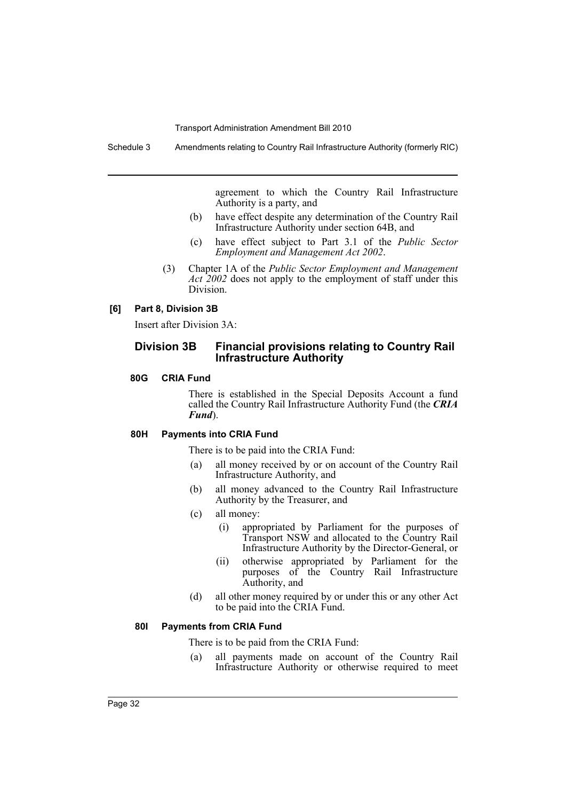agreement to which the Country Rail Infrastructure Authority is a party, and

- (b) have effect despite any determination of the Country Rail Infrastructure Authority under section 64B, and
- (c) have effect subject to Part 3.1 of the *Public Sector Employment and Management Act 2002*.
- (3) Chapter 1A of the *Public Sector Employment and Management* Act 2002 does not apply to the employment of staff under this Division.

#### **[6] Part 8, Division 3B**

Insert after Division 3A:

#### **Division 3B Financial provisions relating to Country Rail Infrastructure Authority**

#### **80G CRIA Fund**

There is established in the Special Deposits Account a fund called the Country Rail Infrastructure Authority Fund (the *CRIA Fund*).

#### **80H Payments into CRIA Fund**

There is to be paid into the CRIA Fund:

- (a) all money received by or on account of the Country Rail Infrastructure Authority, and
- (b) all money advanced to the Country Rail Infrastructure Authority by the Treasurer, and
- (c) all money:
	- (i) appropriated by Parliament for the purposes of Transport NSW and allocated to the Country Rail Infrastructure Authority by the Director-General, or
	- (ii) otherwise appropriated by Parliament for the purposes of the Country Rail Infrastructure Authority, and
- (d) all other money required by or under this or any other Act to be paid into the CRIA Fund.

#### **80I Payments from CRIA Fund**

There is to be paid from the CRIA Fund:

(a) all payments made on account of the Country Rail Infrastructure Authority or otherwise required to meet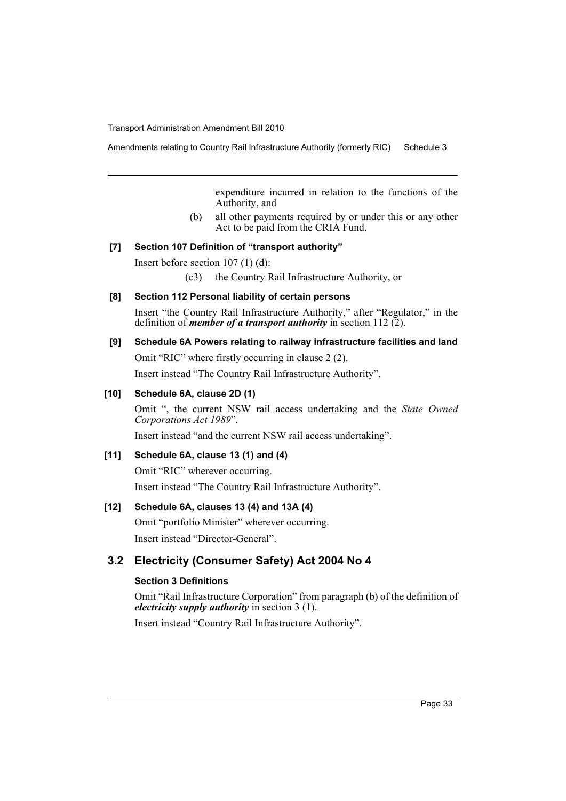Amendments relating to Country Rail Infrastructure Authority (formerly RIC) Schedule 3

expenditure incurred in relation to the functions of the Authority, and

(b) all other payments required by or under this or any other Act to be paid from the CRIA Fund.

#### **[7] Section 107 Definition of "transport authority"**

Insert before section 107 (1) (d):

(c3) the Country Rail Infrastructure Authority, or

#### **[8] Section 112 Personal liability of certain persons**

Insert "the Country Rail Infrastructure Authority," after "Regulator," in the definition of *member of a transport authority* in section 112 (2).

#### **[9] Schedule 6A Powers relating to railway infrastructure facilities and land**

Omit "RIC" where firstly occurring in clause 2 (2). Insert instead "The Country Rail Infrastructure Authority".

#### **[10] Schedule 6A, clause 2D (1)**

Omit ", the current NSW rail access undertaking and the *State Owned Corporations Act 1989*".

Insert instead "and the current NSW rail access undertaking".

### **[11] Schedule 6A, clause 13 (1) and (4)**

Omit "RIC" wherever occurring. Insert instead "The Country Rail Infrastructure Authority".

#### **[12] Schedule 6A, clauses 13 (4) and 13A (4)**

Omit "portfolio Minister" wherever occurring. Insert instead "Director-General".

### **3.2 Electricity (Consumer Safety) Act 2004 No 4**

#### **Section 3 Definitions**

Omit "Rail Infrastructure Corporation" from paragraph (b) of the definition of *electricity supply authority* in section 3 (1).

Insert instead "Country Rail Infrastructure Authority".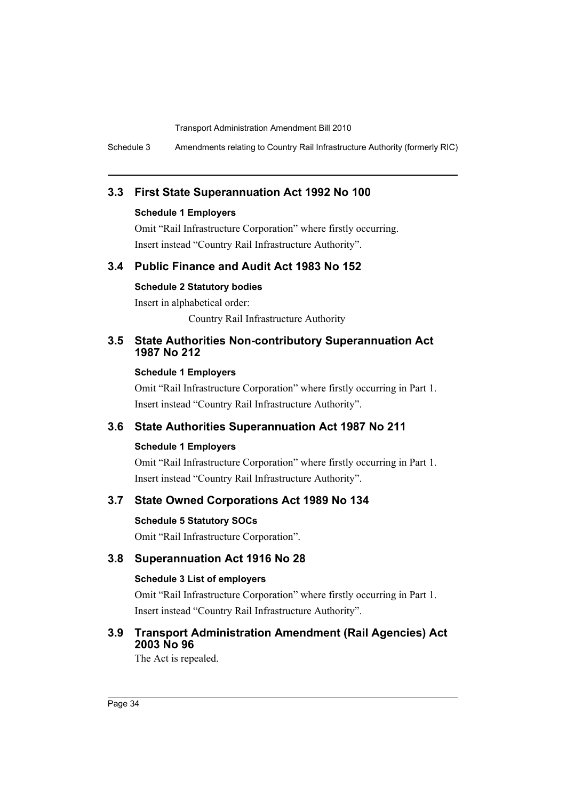Schedule 3 Amendments relating to Country Rail Infrastructure Authority (formerly RIC)

### **3.3 First State Superannuation Act 1992 No 100**

#### **Schedule 1 Employers**

Omit "Rail Infrastructure Corporation" where firstly occurring. Insert instead "Country Rail Infrastructure Authority".

### **3.4 Public Finance and Audit Act 1983 No 152**

#### **Schedule 2 Statutory bodies**

Insert in alphabetical order:

Country Rail Infrastructure Authority

#### **3.5 State Authorities Non-contributory Superannuation Act 1987 No 212**

#### **Schedule 1 Employers**

Omit "Rail Infrastructure Corporation" where firstly occurring in Part 1. Insert instead "Country Rail Infrastructure Authority".

### **3.6 State Authorities Superannuation Act 1987 No 211**

#### **Schedule 1 Employers**

Omit "Rail Infrastructure Corporation" where firstly occurring in Part 1. Insert instead "Country Rail Infrastructure Authority".

### **3.7 State Owned Corporations Act 1989 No 134**

#### **Schedule 5 Statutory SOCs**

Omit "Rail Infrastructure Corporation".

### **3.8 Superannuation Act 1916 No 28**

#### **Schedule 3 List of employers**

Omit "Rail Infrastructure Corporation" where firstly occurring in Part 1. Insert instead "Country Rail Infrastructure Authority".

### **3.9 Transport Administration Amendment (Rail Agencies) Act 2003 No 96**

The Act is repealed.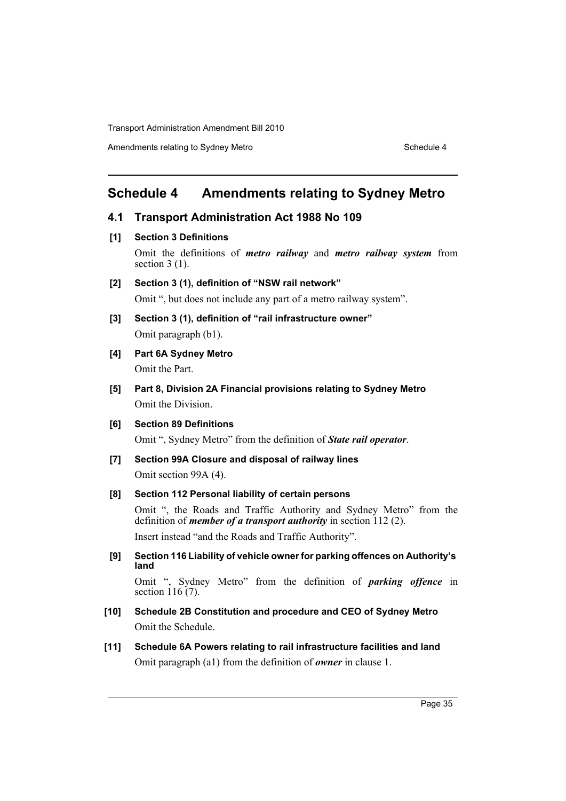Amendments relating to Sydney Metro Schedule 4

### <span id="page-35-0"></span>**Schedule 4 Amendments relating to Sydney Metro**

#### **4.1 Transport Administration Act 1988 No 109**

**[1] Section 3 Definitions**

Omit the definitions of *metro railway* and *metro railway system* from section  $3(1)$ .

- **[2] Section 3 (1), definition of "NSW rail network"** Omit ", but does not include any part of a metro railway system".
- **[3] Section 3 (1), definition of "rail infrastructure owner"** Omit paragraph (b1).
- **[4] Part 6A Sydney Metro** Omit the Part.

**[5] Part 8, Division 2A Financial provisions relating to Sydney Metro** Omit the Division.

#### **[6] Section 89 Definitions**

Omit ", Sydney Metro" from the definition of *State rail operator*.

#### **[7] Section 99A Closure and disposal of railway lines**

Omit section 99A (4).

#### **[8] Section 112 Personal liability of certain persons**

Omit ", the Roads and Traffic Authority and Sydney Metro" from the definition of *member of a transport authority* in section 112 (2). Insert instead "and the Roads and Traffic Authority".

**[9] Section 116 Liability of vehicle owner for parking offences on Authority's land**

Omit ", Sydney Metro" from the definition of *parking offence* in section 116 (7).

- **[10] Schedule 2B Constitution and procedure and CEO of Sydney Metro** Omit the Schedule.
- **[11] Schedule 6A Powers relating to rail infrastructure facilities and land** Omit paragraph (a1) from the definition of *owner* in clause 1.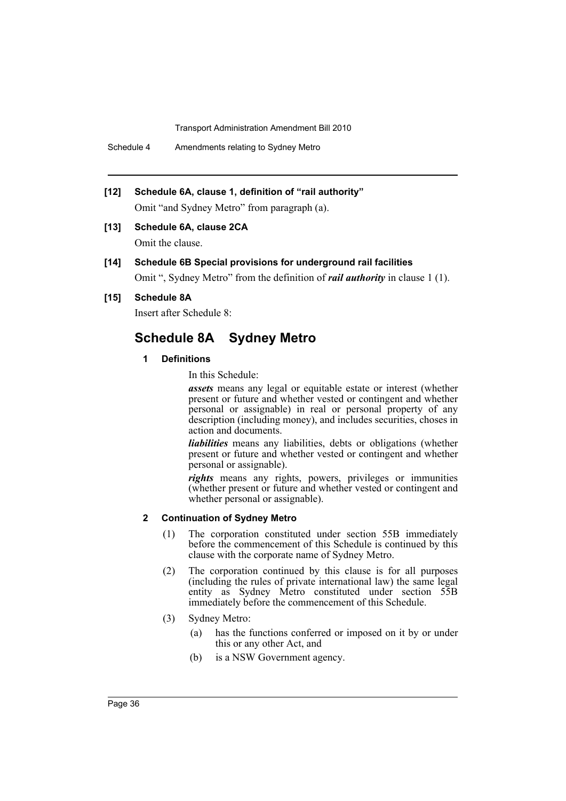Schedule 4 Amendments relating to Sydney Metro

#### **[12] Schedule 6A, clause 1, definition of "rail authority"**

Omit "and Sydney Metro" from paragraph (a).

#### **[13] Schedule 6A, clause 2CA**

Omit the clause.

#### **[14] Schedule 6B Special provisions for underground rail facilities**

Omit ", Sydney Metro" from the definition of *rail authority* in clause 1 (1).

### **[15] Schedule 8A**

Insert after Schedule 8:

### **Schedule 8A Sydney Metro**

#### **1 Definitions**

In this Schedule:

*assets* means any legal or equitable estate or interest (whether present or future and whether vested or contingent and whether personal or assignable) in real or personal property of any description (including money), and includes securities, choses in action and documents.

*liabilities* means any liabilities, debts or obligations (whether present or future and whether vested or contingent and whether personal or assignable).

*rights* means any rights, powers, privileges or immunities (whether present or future and whether vested or contingent and whether personal or assignable).

#### **2 Continuation of Sydney Metro**

- (1) The corporation constituted under section 55B immediately before the commencement of this Schedule is continued by this clause with the corporate name of Sydney Metro.
- (2) The corporation continued by this clause is for all purposes (including the rules of private international law) the same legal entity as Sydney Metro constituted under section 55B immediately before the commencement of this Schedule.
- (3) Sydney Metro:
	- (a) has the functions conferred or imposed on it by or under this or any other Act, and
	- (b) is a NSW Government agency.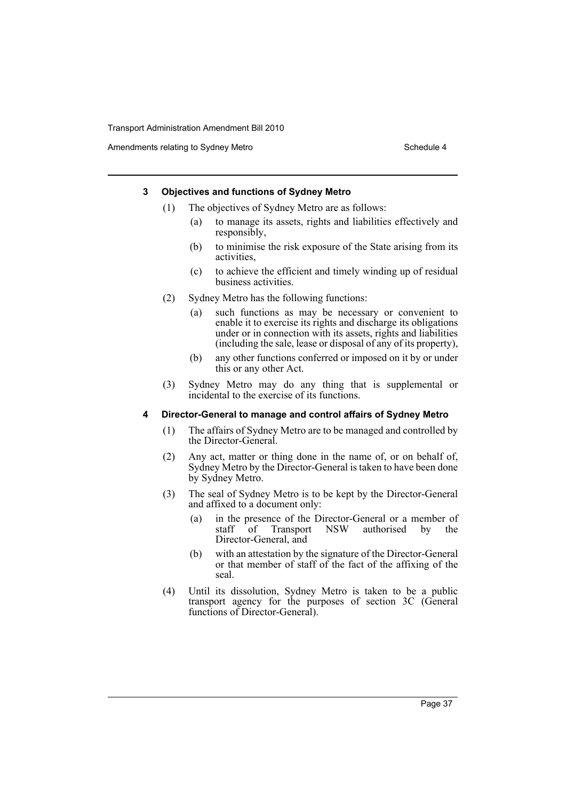Amendments relating to Sydney Metro Schedule 4

#### **3 Objectives and functions of Sydney Metro**

- (1) The objectives of Sydney Metro are as follows:
	- (a) to manage its assets, rights and liabilities effectively and responsibly,
	- (b) to minimise the risk exposure of the State arising from its activities,
	- (c) to achieve the efficient and timely winding up of residual business activities.
- (2) Sydney Metro has the following functions:
	- (a) such functions as may be necessary or convenient to enable it to exercise its rights and discharge its obligations under or in connection with its assets, rights and liabilities (including the sale, lease or disposal of any of its property),
	- (b) any other functions conferred or imposed on it by or under this or any other Act.
- (3) Sydney Metro may do any thing that is supplemental or incidental to the exercise of its functions.

#### **4 Director-General to manage and control affairs of Sydney Metro**

- (1) The affairs of Sydney Metro are to be managed and controlled by the Director-General.
- (2) Any act, matter or thing done in the name of, or on behalf of, Sydney Metro by the Director-General is taken to have been done by Sydney Metro.
- (3) The seal of Sydney Metro is to be kept by the Director-General and affixed to a document only:
	- (a) in the presence of the Director-General or a member of staff of Transport NSW authorised by the Director-General, and
	- (b) with an attestation by the signature of the Director-General or that member of staff of the fact of the affixing of the seal.
- (4) Until its dissolution, Sydney Metro is taken to be a public transport agency for the purposes of section 3C (General functions of Director-General).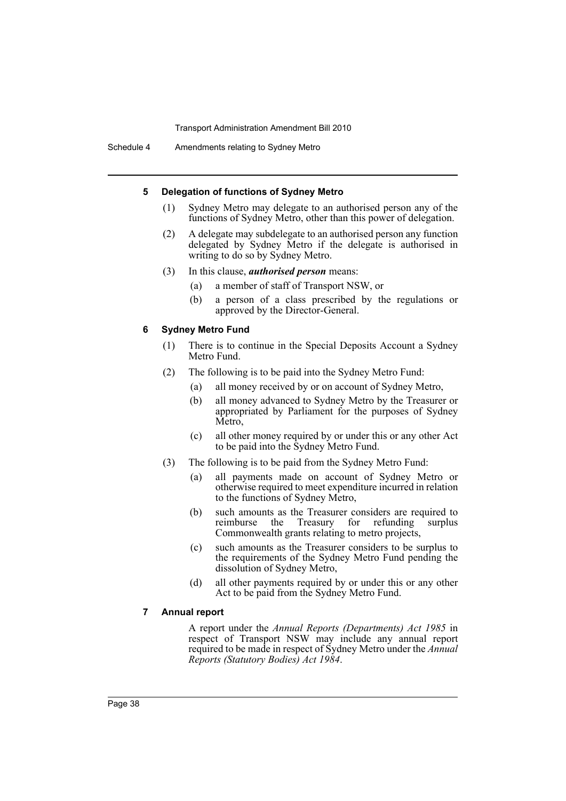#### **5 Delegation of functions of Sydney Metro**

- (1) Sydney Metro may delegate to an authorised person any of the functions of Sydney Metro, other than this power of delegation.
- (2) A delegate may subdelegate to an authorised person any function delegated by Sydney Metro if the delegate is authorised in writing to do so by Sydney Metro.
- (3) In this clause, *authorised person* means:
	- (a) a member of staff of Transport NSW, or
	- (b) a person of a class prescribed by the regulations or approved by the Director-General.

#### **6 Sydney Metro Fund**

- (1) There is to continue in the Special Deposits Account a Sydney Metro Fund.
- (2) The following is to be paid into the Sydney Metro Fund:
	- (a) all money received by or on account of Sydney Metro,
	- (b) all money advanced to Sydney Metro by the Treasurer or appropriated by Parliament for the purposes of Sydney Metro,
	- (c) all other money required by or under this or any other Act to be paid into the Sydney Metro Fund.
- (3) The following is to be paid from the Sydney Metro Fund:
	- (a) all payments made on account of Sydney Metro or otherwise required to meet expenditure incurred in relation to the functions of Sydney Metro,
	- (b) such amounts as the Treasurer considers are required to reimburse the Treasury for refunding surplus Commonwealth grants relating to metro projects,
	- (c) such amounts as the Treasurer considers to be surplus to the requirements of the Sydney Metro Fund pending the dissolution of Sydney Metro,
	- (d) all other payments required by or under this or any other Act to be paid from the Sydney Metro Fund.

#### **7 Annual report**

A report under the *Annual Reports (Departments) Act 1985* in respect of Transport NSW may include any annual report required to be made in respect of Sydney Metro under the *Annual Reports (Statutory Bodies) Act 1984*.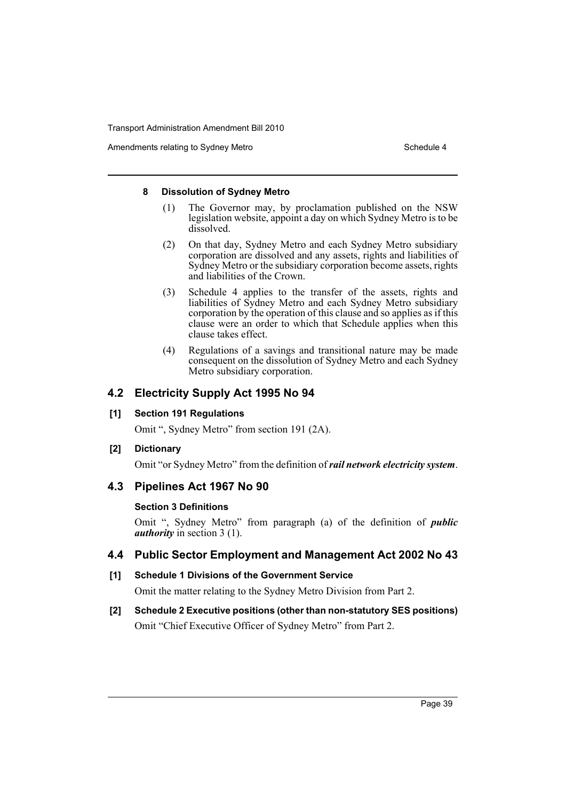Amendments relating to Sydney Metro Schedule 4

#### **8 Dissolution of Sydney Metro**

- (1) The Governor may, by proclamation published on the NSW legislation website, appoint a day on which Sydney Metro is to be dissolved.
- (2) On that day, Sydney Metro and each Sydney Metro subsidiary corporation are dissolved and any assets, rights and liabilities of Sydney Metro or the subsidiary corporation become assets, rights and liabilities of the Crown.
- (3) Schedule 4 applies to the transfer of the assets, rights and liabilities of Sydney Metro and each Sydney Metro subsidiary corporation by the operation of this clause and so applies as if this clause were an order to which that Schedule applies when this clause takes effect.
- (4) Regulations of a savings and transitional nature may be made consequent on the dissolution of Sydney Metro and each Sydney Metro subsidiary corporation.

### **4.2 Electricity Supply Act 1995 No 94**

#### **[1] Section 191 Regulations**

Omit ", Sydney Metro" from section 191 (2A).

**[2] Dictionary**

Omit "or Sydney Metro" from the definition of *rail network electricity system*.

### **4.3 Pipelines Act 1967 No 90**

### **Section 3 Definitions**

Omit ", Sydney Metro" from paragraph (a) of the definition of *public authority* in section 3 (1).

### **4.4 Public Sector Employment and Management Act 2002 No 43**

### **[1] Schedule 1 Divisions of the Government Service**

Omit the matter relating to the Sydney Metro Division from Part 2.

### **[2] Schedule 2 Executive positions (other than non-statutory SES positions)** Omit "Chief Executive Officer of Sydney Metro" from Part 2.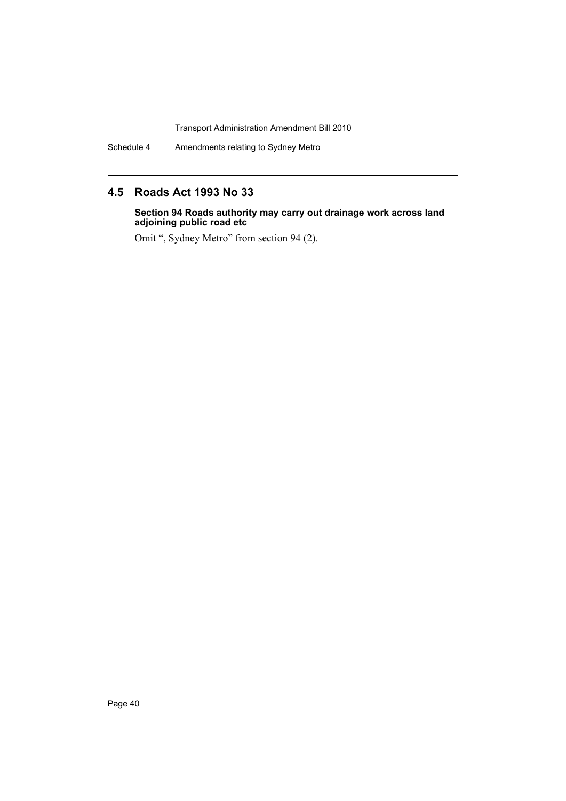Schedule 4 Amendments relating to Sydney Metro

### **4.5 Roads Act 1993 No 33**

**Section 94 Roads authority may carry out drainage work across land adjoining public road etc**

Omit ", Sydney Metro" from section 94 (2).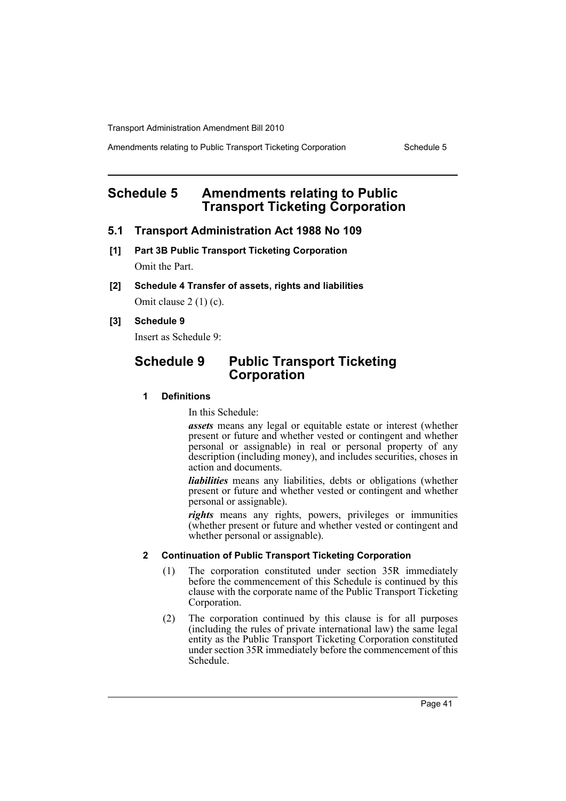Amendments relating to Public Transport Ticketing Corporation Schedule 5

### <span id="page-41-0"></span>**Schedule 5 Amendments relating to Public Transport Ticketing Corporation**

#### **5.1 Transport Administration Act 1988 No 109**

- **[1] Part 3B Public Transport Ticketing Corporation** Omit the Part.
- **[2] Schedule 4 Transfer of assets, rights and liabilities** Omit clause 2 (1) (c).
- **[3] Schedule 9**

Insert as Schedule 9:

### **Schedule 9 Public Transport Ticketing Corporation**

#### **1 Definitions**

In this Schedule:

*assets* means any legal or equitable estate or interest (whether present or future and whether vested or contingent and whether personal or assignable) in real or personal property of any description (including money), and includes securities, choses in action and documents.

*liabilities* means any liabilities, debts or obligations (whether present or future and whether vested or contingent and whether personal or assignable).

*rights* means any rights, powers, privileges or immunities (whether present or future and whether vested or contingent and whether personal or assignable).

#### **2 Continuation of Public Transport Ticketing Corporation**

- (1) The corporation constituted under section 35R immediately before the commencement of this Schedule is continued by this clause with the corporate name of the Public Transport Ticketing Corporation.
- (2) The corporation continued by this clause is for all purposes (including the rules of private international law) the same legal entity as the Public Transport Ticketing Corporation constituted under section 35R immediately before the commencement of this Schedule.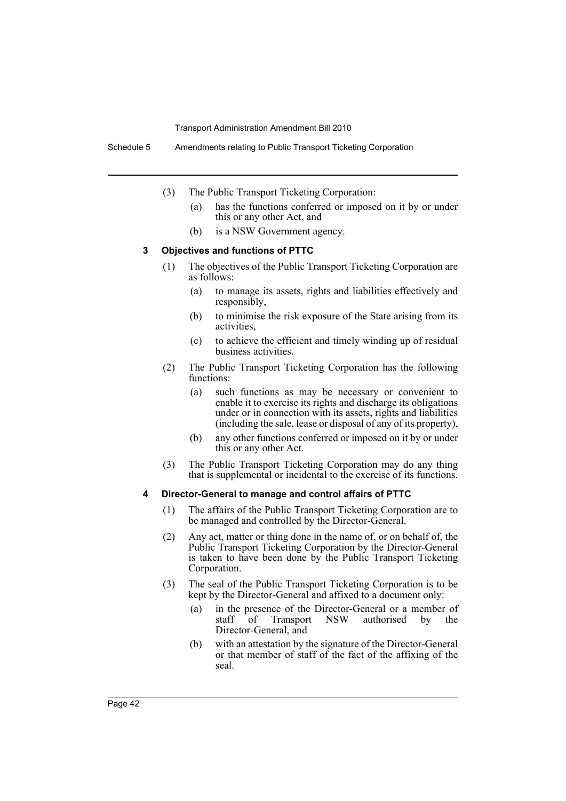Schedule 5 Amendments relating to Public Transport Ticketing Corporation

- (3) The Public Transport Ticketing Corporation:
	- (a) has the functions conferred or imposed on it by or under this or any other Act, and
	- (b) is a NSW Government agency.

#### **3 Objectives and functions of PTTC**

- (1) The objectives of the Public Transport Ticketing Corporation are as follows:
	- (a) to manage its assets, rights and liabilities effectively and responsibly,
	- (b) to minimise the risk exposure of the State arising from its activities,
	- (c) to achieve the efficient and timely winding up of residual business activities.
- (2) The Public Transport Ticketing Corporation has the following functions:
	- (a) such functions as may be necessary or convenient to enable it to exercise its rights and discharge its obligations under or in connection with its assets, rights and liabilities (including the sale, lease or disposal of any of its property),
	- (b) any other functions conferred or imposed on it by or under this or any other Act.
- (3) The Public Transport Ticketing Corporation may do any thing that is supplemental or incidental to the exercise of its functions.

#### **4 Director-General to manage and control affairs of PTTC**

- (1) The affairs of the Public Transport Ticketing Corporation are to be managed and controlled by the Director-General.
- (2) Any act, matter or thing done in the name of, or on behalf of, the Public Transport Ticketing Corporation by the Director-General is taken to have been done by the Public Transport Ticketing Corporation.
- (3) The seal of the Public Transport Ticketing Corporation is to be kept by the Director-General and affixed to a document only:
	- (a) in the presence of the Director-General or a member of staff of Transport NSW authorised by the of Transport NSW authorised by the Director-General, and
	- (b) with an attestation by the signature of the Director-General or that member of staff of the fact of the affixing of the seal.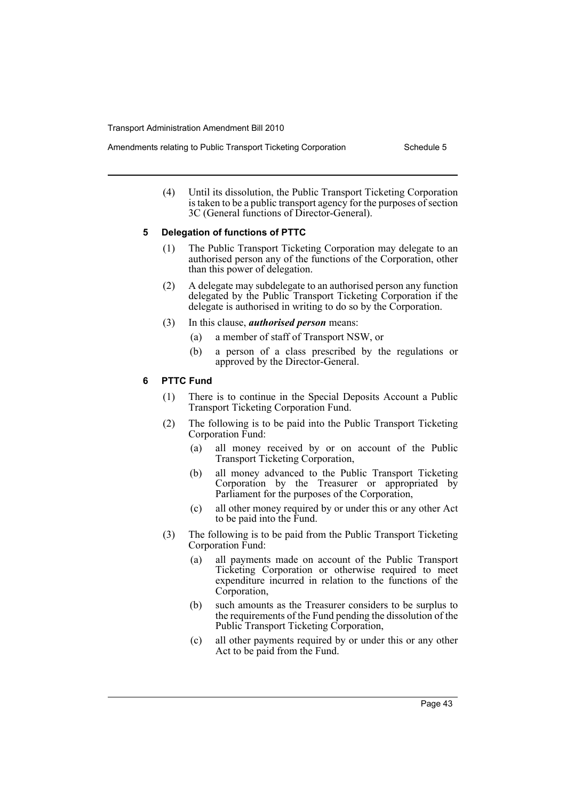- Amendments relating to Public Transport Ticketing Corporation Schedule 5
	- (4) Until its dissolution, the Public Transport Ticketing Corporation is taken to be a public transport agency for the purposes of section 3C (General functions of Director-General).

#### **5 Delegation of functions of PTTC**

- (1) The Public Transport Ticketing Corporation may delegate to an authorised person any of the functions of the Corporation, other than this power of delegation.
- (2) A delegate may subdelegate to an authorised person any function delegated by the Public Transport Ticketing Corporation if the delegate is authorised in writing to do so by the Corporation.
- (3) In this clause, *authorised person* means:
	- (a) a member of staff of Transport NSW, or
	- (b) a person of a class prescribed by the regulations or approved by the Director-General.

### **6 PTTC Fund**

- (1) There is to continue in the Special Deposits Account a Public Transport Ticketing Corporation Fund.
- (2) The following is to be paid into the Public Transport Ticketing Corporation Fund:
	- (a) all money received by or on account of the Public Transport Ticketing Corporation,
	- (b) all money advanced to the Public Transport Ticketing Corporation by the Treasurer or appropriated by Parliament for the purposes of the Corporation,
	- (c) all other money required by or under this or any other Act to be paid into the Fund.
- (3) The following is to be paid from the Public Transport Ticketing Corporation Fund:
	- (a) all payments made on account of the Public Transport Ticketing Corporation or otherwise required to meet expenditure incurred in relation to the functions of the Corporation,
	- (b) such amounts as the Treasurer considers to be surplus to the requirements of the Fund pending the dissolution of the Public Transport Ticketing Corporation,
	- (c) all other payments required by or under this or any other Act to be paid from the Fund.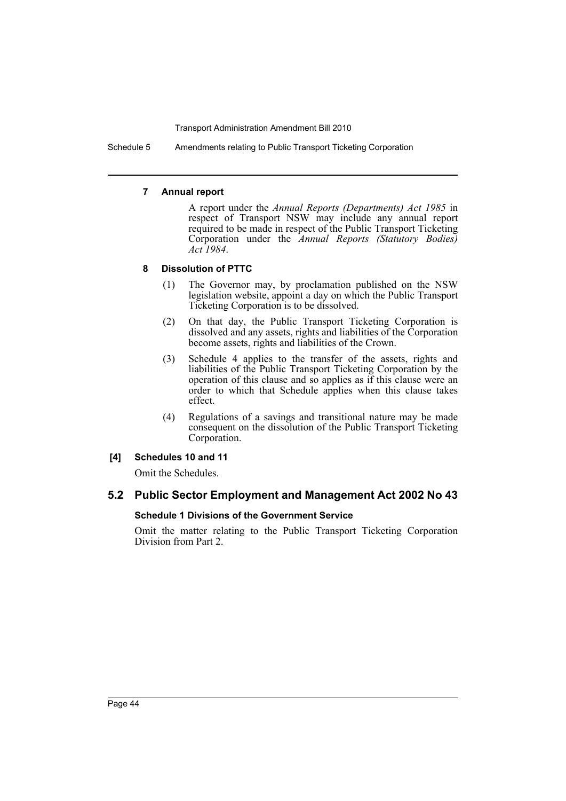Schedule 5 Amendments relating to Public Transport Ticketing Corporation

#### **7 Annual report**

A report under the *Annual Reports (Departments) Act 1985* in respect of Transport NSW may include any annual report required to be made in respect of the Public Transport Ticketing Corporation under the *Annual Reports (Statutory Bodies) Act 1984*.

#### **8 Dissolution of PTTC**

- (1) The Governor may, by proclamation published on the NSW legislation website, appoint a day on which the Public Transport Ticketing Corporation is to be dissolved.
- (2) On that day, the Public Transport Ticketing Corporation is dissolved and any assets, rights and liabilities of the Corporation become assets, rights and liabilities of the Crown.
- (3) Schedule 4 applies to the transfer of the assets, rights and liabilities of the Public Transport Ticketing Corporation by the operation of this clause and so applies as if this clause were an order to which that Schedule applies when this clause takes effect.
- (4) Regulations of a savings and transitional nature may be made consequent on the dissolution of the Public Transport Ticketing Corporation.

#### **[4] Schedules 10 and 11**

Omit the Schedules.

### **5.2 Public Sector Employment and Management Act 2002 No 43**

#### **Schedule 1 Divisions of the Government Service**

Omit the matter relating to the Public Transport Ticketing Corporation Division from Part 2.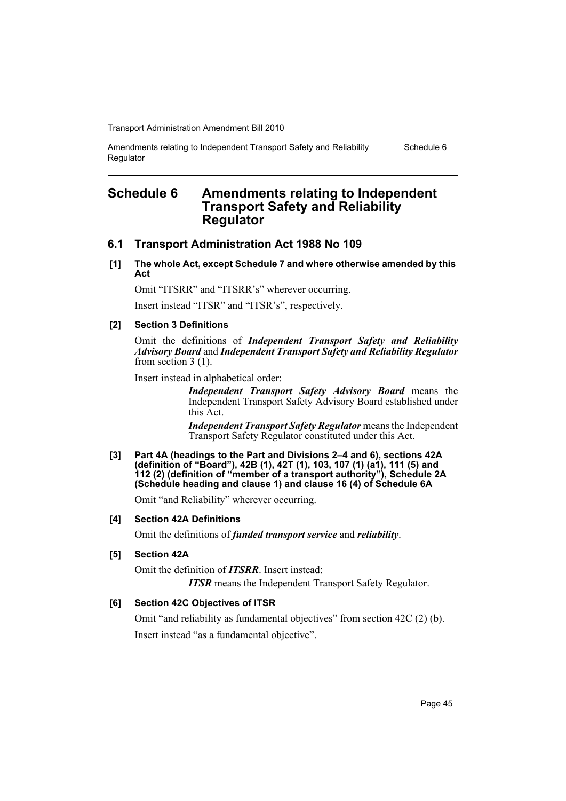Amendments relating to Independent Transport Safety and Reliability **Regulator** Schedule 6

### <span id="page-45-0"></span>**Schedule 6 Amendments relating to Independent Transport Safety and Reliability Regulator**

#### **6.1 Transport Administration Act 1988 No 109**

**[1] The whole Act, except Schedule 7 and where otherwise amended by this Act**

Omit "ITSRR" and "ITSRR's" wherever occurring.

Insert instead "ITSR" and "ITSR's", respectively.

#### **[2] Section 3 Definitions**

Omit the definitions of *Independent Transport Safety and Reliability Advisory Board* and *Independent Transport Safety and Reliability Regulator* from section 3 (1).

Insert instead in alphabetical order:

*Independent Transport Safety Advisory Board* means the Independent Transport Safety Advisory Board established under this Act.

*Independent Transport Safety Regulator* means the Independent Transport Safety Regulator constituted under this Act.

**[3] Part 4A (headings to the Part and Divisions 2–4 and 6), sections 42A (definition of "Board"), 42B (1), 42T (1), 103, 107 (1) (a1), 111 (5) and 112 (2) (definition of "member of a transport authority"), Schedule 2A (Schedule heading and clause 1) and clause 16 (4) of Schedule 6A**

Omit "and Reliability" wherever occurring.

#### **[4] Section 42A Definitions**

Omit the definitions of *funded transport service* and *reliability*.

#### **[5] Section 42A**

Omit the definition of *ITSRR*. Insert instead:

*ITSR* means the Independent Transport Safety Regulator.

#### **[6] Section 42C Objectives of ITSR**

Omit "and reliability as fundamental objectives" from section 42C (2) (b). Insert instead "as a fundamental objective".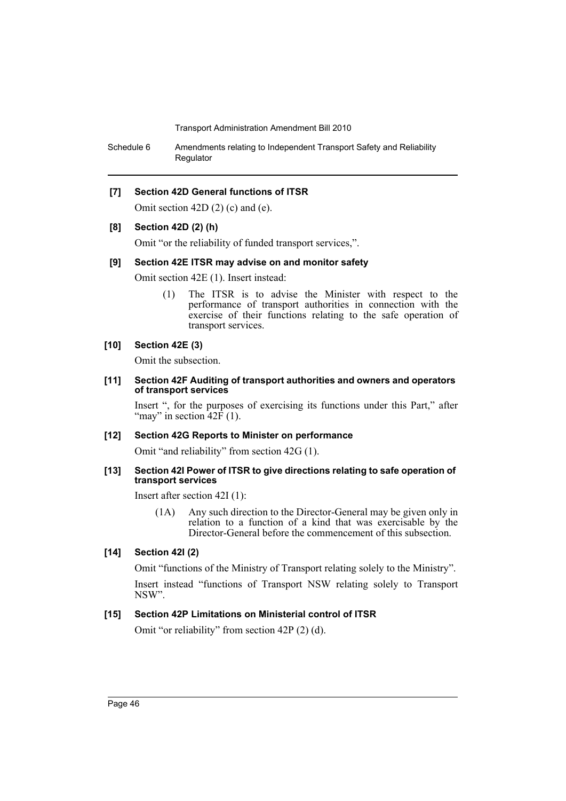Schedule 6 Amendments relating to Independent Transport Safety and Reliability Regulator

#### **[7] Section 42D General functions of ITSR**

Omit section 42D (2) (c) and (e).

#### **[8] Section 42D (2) (h)**

Omit "or the reliability of funded transport services,".

#### **[9] Section 42E ITSR may advise on and monitor safety**

Omit section 42E (1). Insert instead:

(1) The ITSR is to advise the Minister with respect to the performance of transport authorities in connection with the exercise of their functions relating to the safe operation of transport services.

#### **[10] Section 42E (3)**

Omit the subsection.

#### **[11] Section 42F Auditing of transport authorities and owners and operators of transport services**

Insert ", for the purposes of exercising its functions under this Part," after "may" in section  $42\bar{F}(1)$ .

#### **[12] Section 42G Reports to Minister on performance**

Omit "and reliability" from section 42G (1).

#### **[13] Section 42I Power of ITSR to give directions relating to safe operation of transport services**

Insert after section 42I (1):

(1A) Any such direction to the Director-General may be given only in relation to a function of a kind that was exercisable by the Director-General before the commencement of this subsection.

#### **[14] Section 42I (2)**

Omit "functions of the Ministry of Transport relating solely to the Ministry".

Insert instead "functions of Transport NSW relating solely to Transport NSW".

#### **[15] Section 42P Limitations on Ministerial control of ITSR**

Omit "or reliability" from section 42P (2) (d).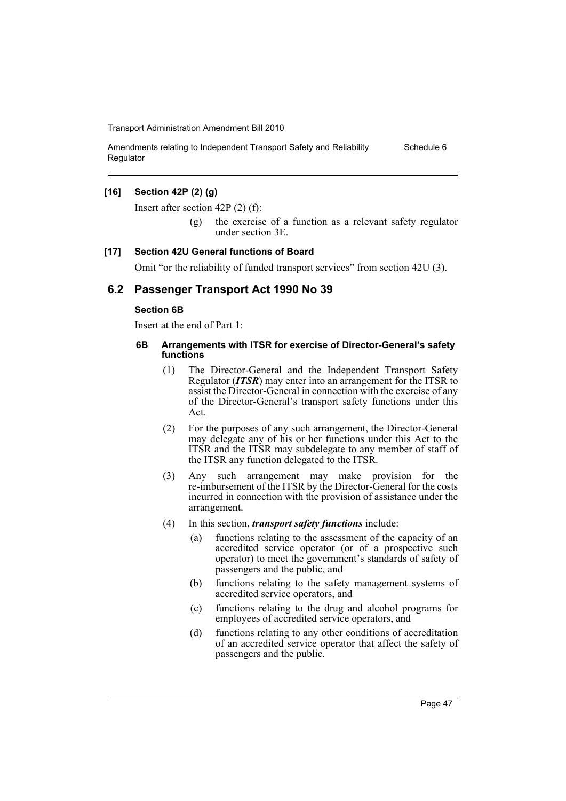Amendments relating to Independent Transport Safety and Reliability **Regulator** Schedule 6

#### **[16] Section 42P (2) (g)**

Insert after section 42P (2) (f):

(g) the exercise of a function as a relevant safety regulator under section 3E.

#### **[17] Section 42U General functions of Board**

Omit "or the reliability of funded transport services" from section 42U (3).

#### **6.2 Passenger Transport Act 1990 No 39**

#### **Section 6B**

Insert at the end of Part 1:

#### **6B Arrangements with ITSR for exercise of Director-General's safety functions**

- (1) The Director-General and the Independent Transport Safety Regulator (*ITSR*) may enter into an arrangement for the ITSR to assist the Director-General in connection with the exercise of any of the Director-General's transport safety functions under this Act.
- (2) For the purposes of any such arrangement, the Director-General may delegate any of his or her functions under this Act to the ITSR and the ITSR may subdelegate to any member of staff of the ITSR any function delegated to the ITSR.
- (3) Any such arrangement may make provision for the re-imbursement of the ITSR by the Director-General for the costs incurred in connection with the provision of assistance under the arrangement.
- (4) In this section, *transport safety functions* include:
	- (a) functions relating to the assessment of the capacity of an accredited service operator (or of a prospective such operator) to meet the government's standards of safety of passengers and the public, and
	- (b) functions relating to the safety management systems of accredited service operators, and
	- (c) functions relating to the drug and alcohol programs for employees of accredited service operators, and
	- (d) functions relating to any other conditions of accreditation of an accredited service operator that affect the safety of passengers and the public.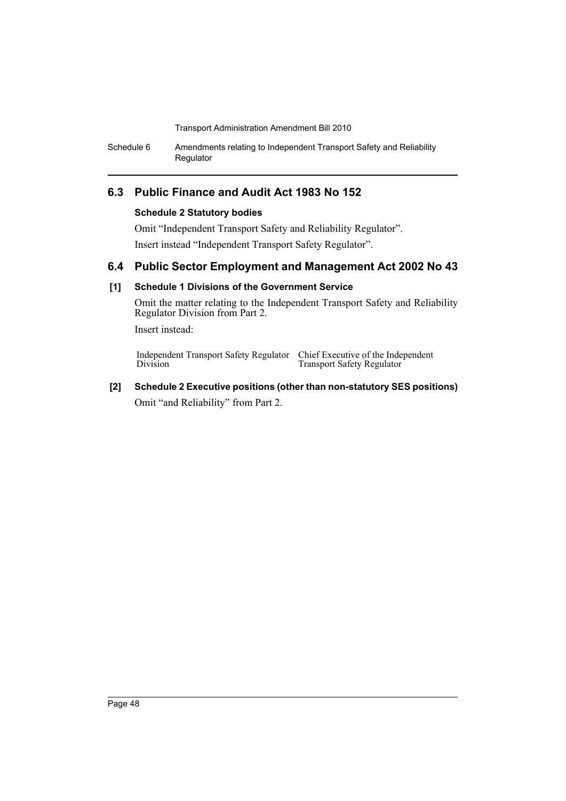Schedule 6 Amendments relating to Independent Transport Safety and Reliability **Regulator** 

### **6.3 Public Finance and Audit Act 1983 No 152**

#### **Schedule 2 Statutory bodies**

Omit "Independent Transport Safety and Reliability Regulator".

Insert instead "Independent Transport Safety Regulator".

### **6.4 Public Sector Employment and Management Act 2002 No 43**

#### **[1] Schedule 1 Divisions of the Government Service**

Omit the matter relating to the Independent Transport Safety and Reliability Regulator Division from Part 2.

Insert instead:

Independent Transport Safety Regulator Chief Executive of the Independent Division Transport Safety Regulator

## **[2] Schedule 2 Executive positions (other than non-statutory SES positions)**

Omit "and Reliability" from Part 2.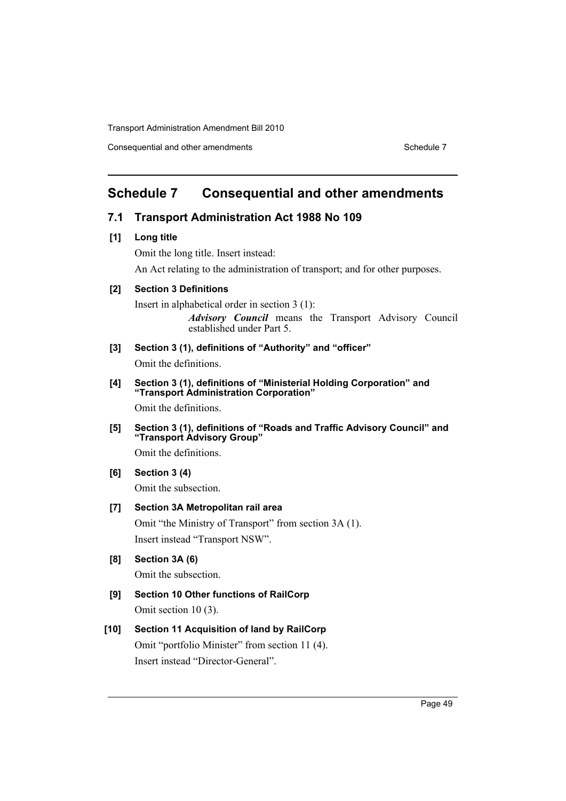Consequential and other amendments Schedule 7

### <span id="page-49-0"></span>**Schedule 7 Consequential and other amendments**

### **7.1 Transport Administration Act 1988 No 109**

**[1] Long title**

Omit the long title. Insert instead:

An Act relating to the administration of transport; and for other purposes.

#### **[2] Section 3 Definitions**

Insert in alphabetical order in section 3 (1):

*Advisory Council* means the Transport Advisory Council established under Part 5.

**[3] Section 3 (1), definitions of "Authority" and "officer"**

Omit the definitions.

#### **[4] Section 3 (1), definitions of "Ministerial Holding Corporation" and "Transport Administration Corporation"**

Omit the definitions.

**[5] Section 3 (1), definitions of "Roads and Traffic Advisory Council" and "Transport Advisory Group"**

Omit the definitions.

### **[6] Section 3 (4)**

Omit the subsection.

#### **[7] Section 3A Metropolitan rail area**

Omit "the Ministry of Transport" from section 3A (1). Insert instead "Transport NSW".

**[8] Section 3A (6)**

Omit the subsection.

**[9] Section 10 Other functions of RailCorp** Omit section 10 (3).

### **[10] Section 11 Acquisition of land by RailCorp** Omit "portfolio Minister" from section 11 (4). Insert instead "Director-General".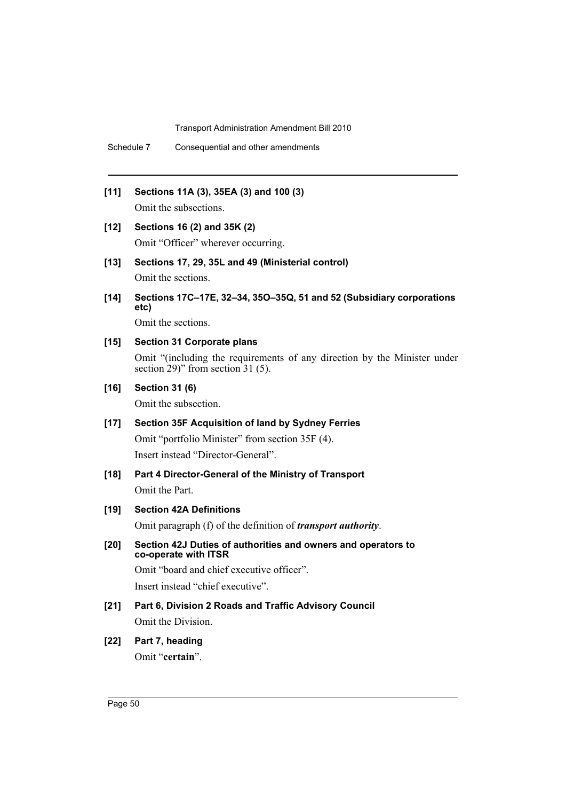Schedule 7 Consequential and other amendments

**[11] Sections 11A (3), 35EA (3) and 100 (3)**

Omit the subsections.

- **[12] Sections 16 (2) and 35K (2)** Omit "Officer" wherever occurring.
- **[13] Sections 17, 29, 35L and 49 (Ministerial control)**

Omit the sections.

**[14] Sections 17C–17E, 32–34, 35O–35Q, 51 and 52 (Subsidiary corporations etc)**

Omit the sections.

**[15] Section 31 Corporate plans**

Omit "(including the requirements of any direction by the Minister under section 29)" from section  $31(5)$ .

#### **[16] Section 31 (6)**

Omit the subsection.

**[17] Section 35F Acquisition of land by Sydney Ferries** Omit "portfolio Minister" from section 35F (4).

Insert instead "Director-General".

**[18] Part 4 Director-General of the Ministry of Transport** Omit the Part.

#### **[19] Section 42A Definitions**

Omit paragraph (f) of the definition of *transport authority*.

**[20] Section 42J Duties of authorities and owners and operators to co-operate with ITSR**

Omit "board and chief executive officer". Insert instead "chief executive".

- **[21] Part 6, Division 2 Roads and Traffic Advisory Council** Omit the Division.
- **[22] Part 7, heading** Omit "**certain**".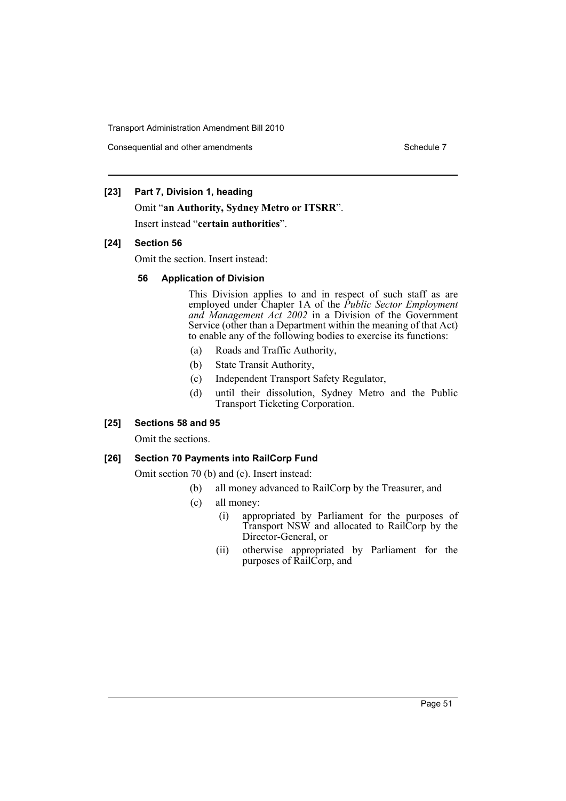Consequential and other amendments Schedule 7

#### **[23] Part 7, Division 1, heading**

Omit "**an Authority, Sydney Metro or ITSRR**".

Insert instead "**certain authorities**".

#### **[24] Section 56**

Omit the section. Insert instead:

#### **56 Application of Division**

This Division applies to and in respect of such staff as are employed under Chapter 1A of the *Public Sector Employment and Management Act 2002* in a Division of the Government Service (other than a Department within the meaning of that Act) to enable any of the following bodies to exercise its functions:

- (a) Roads and Traffic Authority,
- (b) State Transit Authority,
- (c) Independent Transport Safety Regulator,
- (d) until their dissolution, Sydney Metro and the Public Transport Ticketing Corporation.

#### **[25] Sections 58 and 95**

Omit the sections.

#### **[26] Section 70 Payments into RailCorp Fund**

Omit section 70 (b) and (c). Insert instead:

- (b) all money advanced to RailCorp by the Treasurer, and
- (c) all money:
	- (i) appropriated by Parliament for the purposes of Transport NSW and allocated to RailCorp by the Director-General, or
	- (ii) otherwise appropriated by Parliament for the purposes of RailCorp, and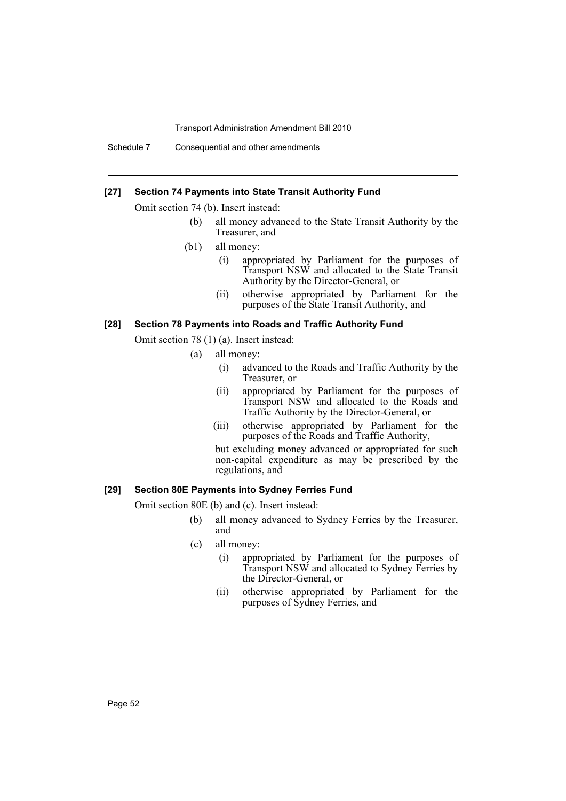Schedule 7 Consequential and other amendments

#### **[27] Section 74 Payments into State Transit Authority Fund**

Omit section 74 (b). Insert instead:

- (b) all money advanced to the State Transit Authority by the Treasurer, and
- (b1) all money:
	- (i) appropriated by Parliament for the purposes of Transport NSW and allocated to the State Transit Authority by the Director-General, or
	- (ii) otherwise appropriated by Parliament for the purposes of the State Transit Authority, and

#### **[28] Section 78 Payments into Roads and Traffic Authority Fund**

Omit section 78 (1) (a). Insert instead:

- (a) all money:
	- (i) advanced to the Roads and Traffic Authority by the Treasurer, or
	- (ii) appropriated by Parliament for the purposes of Transport NSW and allocated to the Roads and Traffic Authority by the Director-General, or
	- (iii) otherwise appropriated by Parliament for the purposes of the Roads and Traffic Authority,

but excluding money advanced or appropriated for such non-capital expenditure as may be prescribed by the regulations, and

#### **[29] Section 80E Payments into Sydney Ferries Fund**

Omit section 80E (b) and (c). Insert instead:

- (b) all money advanced to Sydney Ferries by the Treasurer, and
- (c) all money:
	- (i) appropriated by Parliament for the purposes of Transport NSW and allocated to Sydney Ferries by the Director-General, or
	- (ii) otherwise appropriated by Parliament for the purposes of Sydney Ferries, and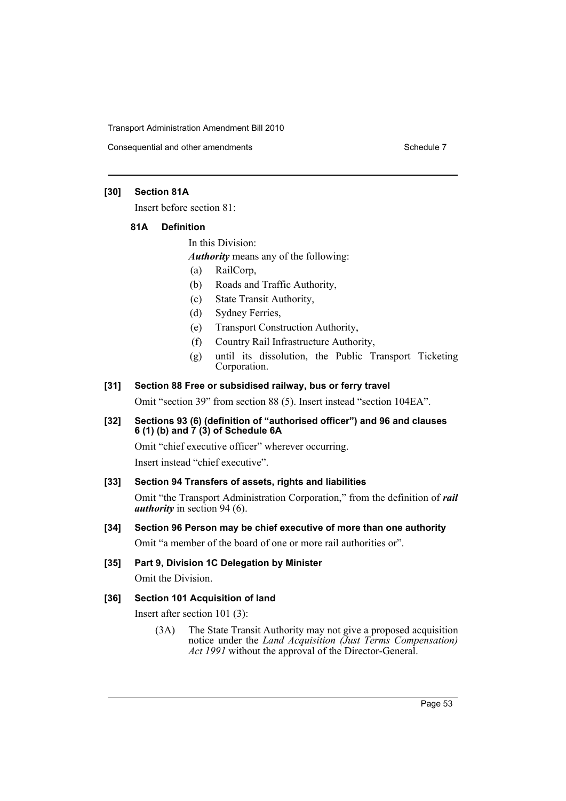Consequential and other amendments Schedule 7

#### **[30] Section 81A**

Insert before section 81:

#### **81A Definition**

In this Division:

*Authority* means any of the following:

- (a) RailCorp,
- (b) Roads and Traffic Authority,
- (c) State Transit Authority,
- (d) Sydney Ferries,
- (e) Transport Construction Authority,
- (f) Country Rail Infrastructure Authority,
- (g) until its dissolution, the Public Transport Ticketing Corporation.

#### **[31] Section 88 Free or subsidised railway, bus or ferry travel**

Omit "section 39" from section 88 (5). Insert instead "section 104EA".

#### **[32] Sections 93 (6) (definition of "authorised officer") and 96 and clauses 6 (1) (b) and 7 (3) of Schedule 6A**

Omit "chief executive officer" wherever occurring.

Insert instead "chief executive".

#### **[33] Section 94 Transfers of assets, rights and liabilities**

Omit "the Transport Administration Corporation," from the definition of *rail authority* in section 94 (6).

#### **[34] Section 96 Person may be chief executive of more than one authority**

Omit "a member of the board of one or more rail authorities or".

#### **[35] Part 9, Division 1C Delegation by Minister**

Omit the Division.

#### **[36] Section 101 Acquisition of land**

Insert after section 101 (3):

(3A) The State Transit Authority may not give a proposed acquisition notice under the *Land Acquisition (Just Terms Compensation) Act 1991* without the approval of the Director-General.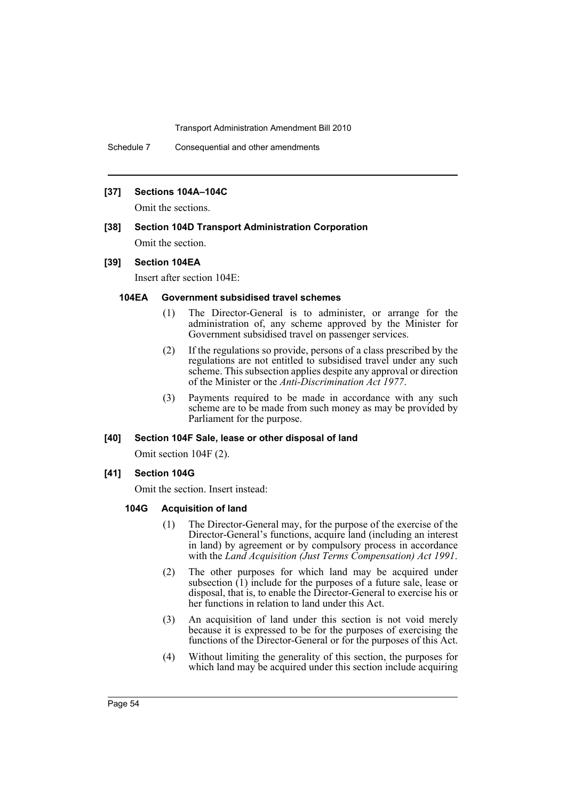Schedule 7 Consequential and other amendments

#### **[37] Sections 104A–104C**

Omit the sections.

#### **[38] Section 104D Transport Administration Corporation**

Omit the section.

#### **[39] Section 104EA**

Insert after section 104E:

#### **104EA Government subsidised travel schemes**

- (1) The Director-General is to administer, or arrange for the administration of, any scheme approved by the Minister for Government subsidised travel on passenger services.
- (2) If the regulations so provide, persons of a class prescribed by the regulations are not entitled to subsidised travel under any such scheme. This subsection applies despite any approval or direction of the Minister or the *Anti-Discrimination Act 1977*.
- (3) Payments required to be made in accordance with any such scheme are to be made from such money as may be provided by Parliament for the purpose.

#### **[40] Section 104F Sale, lease or other disposal of land**

Omit section 104F (2).

**[41] Section 104G**

Omit the section. Insert instead:

#### **104G Acquisition of land**

- (1) The Director-General may, for the purpose of the exercise of the Director-General's functions, acquire land (including an interest in land) by agreement or by compulsory process in accordance with the *Land Acquisition (Just Terms Compensation) Act 1991*.
- (2) The other purposes for which land may be acquired under subsection  $(1)$  include for the purposes of a future sale, lease or disposal, that is, to enable the Director-General to exercise his or her functions in relation to land under this Act.
- (3) An acquisition of land under this section is not void merely because it is expressed to be for the purposes of exercising the functions of the Director-General or for the purposes of this Act.
- (4) Without limiting the generality of this section, the purposes for which land may be acquired under this section include acquiring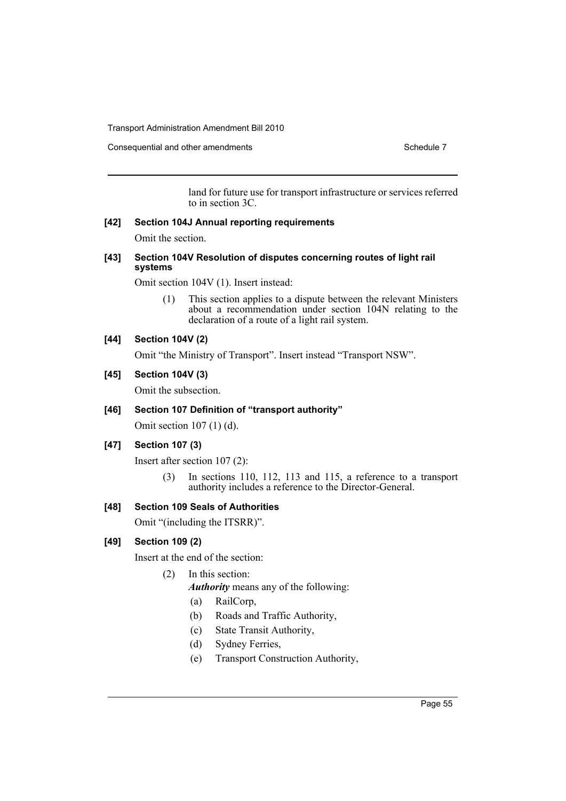Consequential and other amendments Schedule 7

land for future use for transport infrastructure or services referred to in section 3C.

#### **[42] Section 104J Annual reporting requirements**

Omit the section.

#### **[43] Section 104V Resolution of disputes concerning routes of light rail systems**

Omit section 104V (1). Insert instead:

(1) This section applies to a dispute between the relevant Ministers about a recommendation under section 104N relating to the declaration of a route of a light rail system.

#### **[44] Section 104V (2)**

Omit "the Ministry of Transport". Insert instead "Transport NSW".

#### **[45] Section 104V (3)**

Omit the subsection.

#### **[46] Section 107 Definition of "transport authority"**

Omit section 107 (1) (d).

#### **[47] Section 107 (3)**

Insert after section 107 (2):

(3) In sections 110, 112, 113 and 115, a reference to a transport authority includes a reference to the Director-General.

#### **[48] Section 109 Seals of Authorities**

Omit "(including the ITSRR)".

#### **[49] Section 109 (2)**

Insert at the end of the section:

(2) In this section:

*Authority* means any of the following:

- (a) RailCorp,
- (b) Roads and Traffic Authority,
- (c) State Transit Authority,
- (d) Sydney Ferries,
- (e) Transport Construction Authority,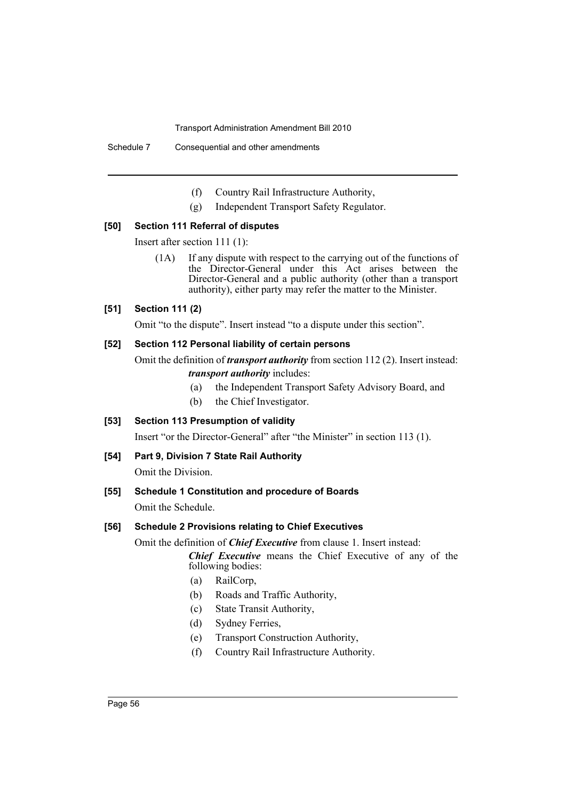Schedule 7 Consequential and other amendments

- (f) Country Rail Infrastructure Authority,
- (g) Independent Transport Safety Regulator.

#### **[50] Section 111 Referral of disputes**

Insert after section 111 (1):

(1A) If any dispute with respect to the carrying out of the functions of the Director-General under this Act arises between the Director-General and a public authority (other than a transport authority), either party may refer the matter to the Minister.

#### **[51] Section 111 (2)**

Omit "to the dispute". Insert instead "to a dispute under this section".

#### **[52] Section 112 Personal liability of certain persons**

Omit the definition of *transport authority* from section 112 (2). Insert instead: *transport authority* includes:

- (a) the Independent Transport Safety Advisory Board, and
- (b) the Chief Investigator.

#### **[53] Section 113 Presumption of validity**

Insert "or the Director-General" after "the Minister" in section 113 (1).

#### **[54] Part 9, Division 7 State Rail Authority**

Omit the Division.

#### **[55] Schedule 1 Constitution and procedure of Boards**

Omit the Schedule.

#### **[56] Schedule 2 Provisions relating to Chief Executives**

Omit the definition of *Chief Executive* from clause 1. Insert instead:

*Chief Executive* means the Chief Executive of any of the following bodies:

- (a) RailCorp,
- (b) Roads and Traffic Authority,
- (c) State Transit Authority,
- (d) Sydney Ferries,
- (e) Transport Construction Authority,
- (f) Country Rail Infrastructure Authority.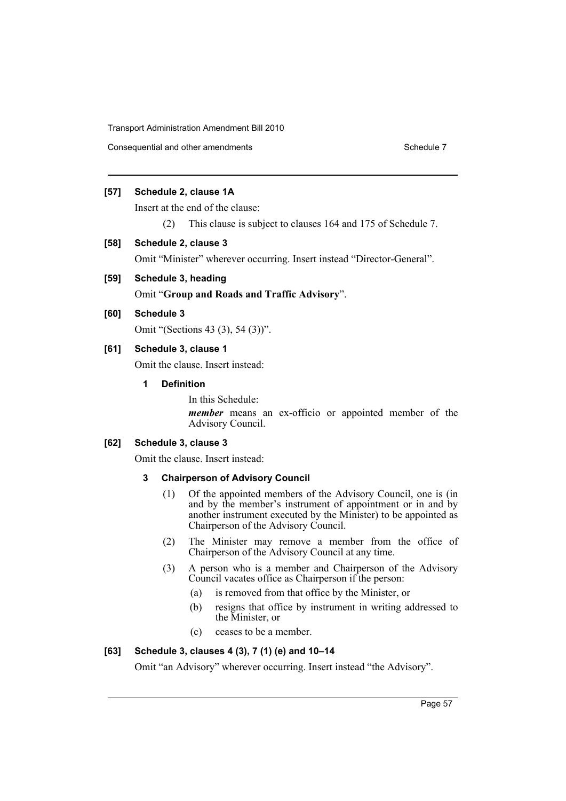Consequential and other amendments Schedule 7

#### **[57] Schedule 2, clause 1A**

Insert at the end of the clause:

(2) This clause is subject to clauses 164 and 175 of Schedule 7.

#### **[58] Schedule 2, clause 3**

Omit "Minister" wherever occurring. Insert instead "Director-General".

#### **[59] Schedule 3, heading**

Omit "**Group and Roads and Traffic Advisory**".

#### **[60] Schedule 3**

Omit "(Sections 43 (3), 54 (3))".

#### **[61] Schedule 3, clause 1**

Omit the clause. Insert instead:

#### **1 Definition**

In this Schedule:

*member* means an ex-officio or appointed member of the Advisory Council.

#### **[62] Schedule 3, clause 3**

Omit the clause. Insert instead:

#### **3 Chairperson of Advisory Council**

- (1) Of the appointed members of the Advisory Council, one is (in and by the member's instrument of appointment or in and by another instrument executed by the Minister) to be appointed as Chairperson of the Advisory Council.
- (2) The Minister may remove a member from the office of Chairperson of the Advisory Council at any time.
- (3) A person who is a member and Chairperson of the Advisory Council vacates office as Chairperson if the person:
	- (a) is removed from that office by the Minister, or
	- (b) resigns that office by instrument in writing addressed to the Minister, or
	- (c) ceases to be a member.

#### **[63] Schedule 3, clauses 4 (3), 7 (1) (e) and 10–14**

Omit "an Advisory" wherever occurring. Insert instead "the Advisory".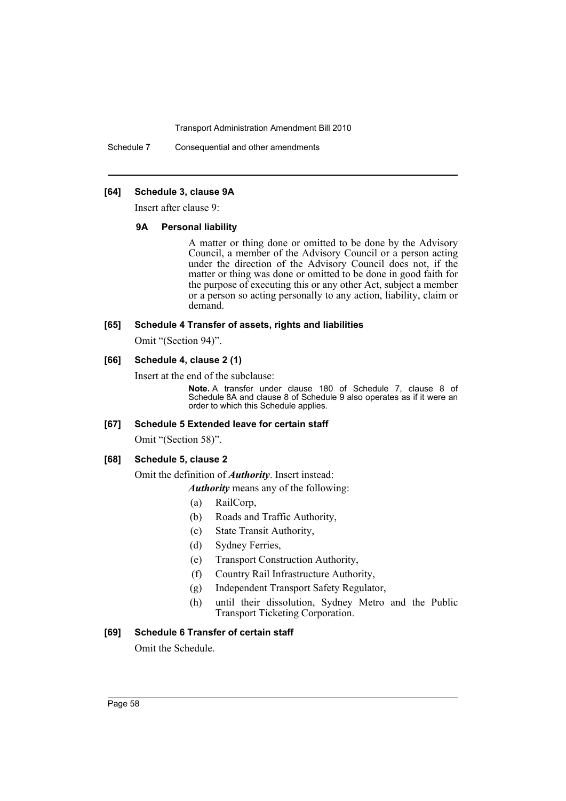Schedule 7 Consequential and other amendments

#### **[64] Schedule 3, clause 9A**

Insert after clause 9:

#### **9A Personal liability**

A matter or thing done or omitted to be done by the Advisory Council, a member of the Advisory Council or a person acting under the direction of the Advisory Council does not, if the matter or thing was done or omitted to be done in good faith for the purpose of executing this or any other Act, subject a member or a person so acting personally to any action, liability, claim or demand.

#### **[65] Schedule 4 Transfer of assets, rights and liabilities**

Omit "(Section 94)".

#### **[66] Schedule 4, clause 2 (1)**

Insert at the end of the subclause:

**Note.** A transfer under clause 180 of Schedule 7, clause 8 of Schedule 8A and clause 8 of Schedule 9 also operates as if it were an order to which this Schedule applies.

#### **[67] Schedule 5 Extended leave for certain staff**

Omit "(Section 58)".

#### **[68] Schedule 5, clause 2**

Omit the definition of *Authority*. Insert instead:

*Authority* means any of the following:

- (a) RailCorp,
- (b) Roads and Traffic Authority,
- (c) State Transit Authority,
- (d) Sydney Ferries,
- (e) Transport Construction Authority,
- (f) Country Rail Infrastructure Authority,
- (g) Independent Transport Safety Regulator,
- (h) until their dissolution, Sydney Metro and the Public Transport Ticketing Corporation.

#### **[69] Schedule 6 Transfer of certain staff**

Omit the Schedule.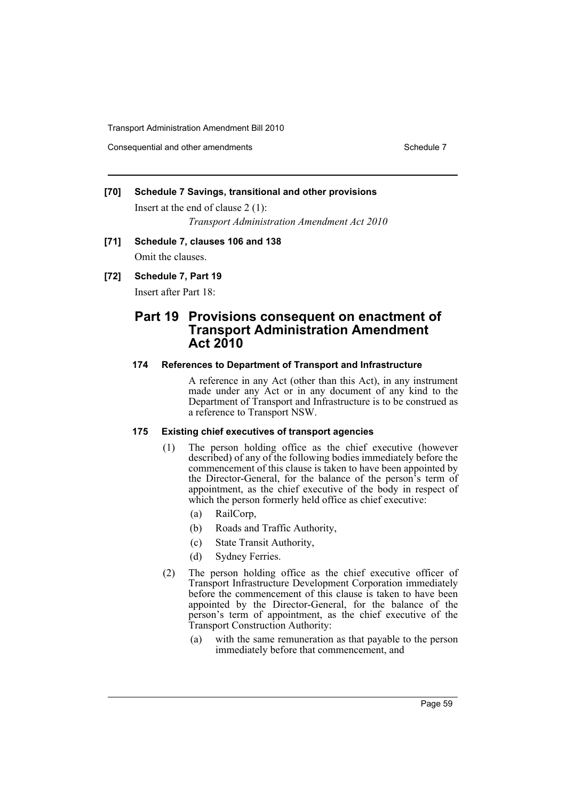Consequential and other amendments Schedule 7 Schedule 7

#### **[70] Schedule 7 Savings, transitional and other provisions**

Insert at the end of clause 2 (1): *Transport Administration Amendment Act 2010*

### **[71] Schedule 7, clauses 106 and 138**

Omit the clauses.

#### **[72] Schedule 7, Part 19**

Insert after Part 18:

### **Part 19 Provisions consequent on enactment of Transport Administration Amendment Act 2010**

#### **174 References to Department of Transport and Infrastructure**

A reference in any Act (other than this Act), in any instrument made under any Act or in any document of any kind to the Department of Transport and Infrastructure is to be construed as a reference to Transport NSW.

#### **175 Existing chief executives of transport agencies**

- (1) The person holding office as the chief executive (however described) of any of the following bodies immediately before the commencement of this clause is taken to have been appointed by the Director-General, for the balance of the person's term of appointment, as the chief executive of the body in respect of which the person formerly held office as chief executive:
	- (a) RailCorp,
	- (b) Roads and Traffic Authority,
	- (c) State Transit Authority,
	- (d) Sydney Ferries.
- (2) The person holding office as the chief executive officer of Transport Infrastructure Development Corporation immediately before the commencement of this clause is taken to have been appointed by the Director-General, for the balance of the person's term of appointment, as the chief executive of the Transport Construction Authority:
	- (a) with the same remuneration as that payable to the person immediately before that commencement, and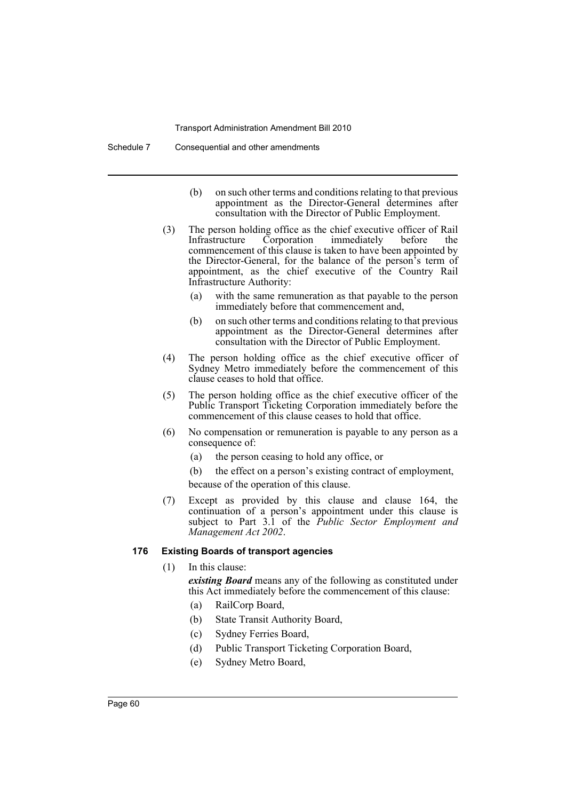- (b) on such other terms and conditions relating to that previous appointment as the Director-General determines after consultation with the Director of Public Employment.
- (3) The person holding office as the chief executive officer of Rail Infrastructure Corporation immediately before the commencement of this clause is taken to have been appointed by the Director-General, for the balance of the person's term of appointment, as the chief executive of the Country Rail Infrastructure Authority:
	- (a) with the same remuneration as that payable to the person immediately before that commencement and,
	- (b) on such other terms and conditions relating to that previous appointment as the Director-General determines after consultation with the Director of Public Employment.
- (4) The person holding office as the chief executive officer of Sydney Metro immediately before the commencement of this clause ceases to hold that office.
- (5) The person holding office as the chief executive officer of the Public Transport Ticketing Corporation immediately before the commencement of this clause ceases to hold that office.
- (6) No compensation or remuneration is payable to any person as a consequence of:
	- (a) the person ceasing to hold any office, or
	- (b) the effect on a person's existing contract of employment,

because of the operation of this clause.

(7) Except as provided by this clause and clause 164, the continuation of a person's appointment under this clause is subject to Part 3.1 of the *Public Sector Employment and Management Act 2002*.

#### **176 Existing Boards of transport agencies**

(1) In this clause:

*existing Board* means any of the following as constituted under this Act immediately before the commencement of this clause:

- (a) RailCorp Board,
- (b) State Transit Authority Board,
- (c) Sydney Ferries Board,
- (d) Public Transport Ticketing Corporation Board,
- (e) Sydney Metro Board,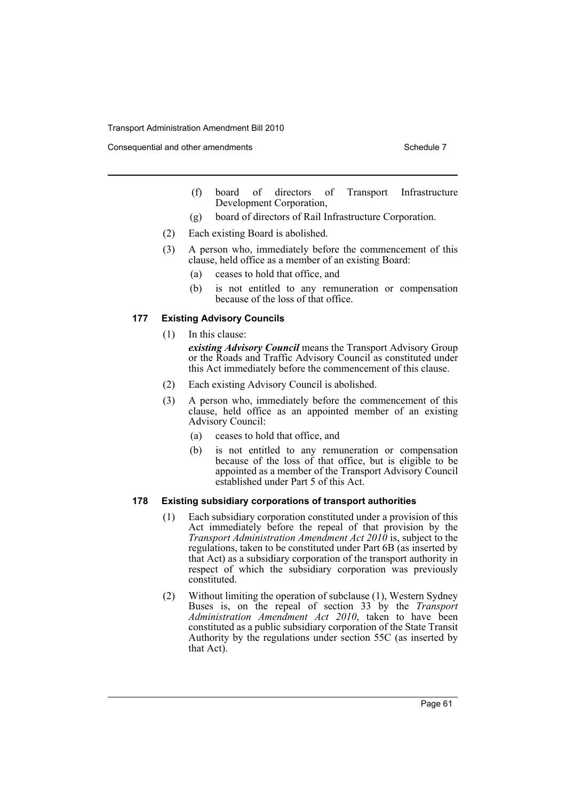Consequential and other amendments Schedule 7 Schedule 7

- (f) board of directors of Transport Infrastructure Development Corporation,
- (g) board of directors of Rail Infrastructure Corporation.
- (2) Each existing Board is abolished.
- (3) A person who, immediately before the commencement of this clause, held office as a member of an existing Board:
	- (a) ceases to hold that office, and
	- (b) is not entitled to any remuneration or compensation because of the loss of that office.

#### **177 Existing Advisory Councils**

(1) In this clause:

*existing Advisory Council* means the Transport Advisory Group or the Roads and Traffic Advisory Council as constituted under this Act immediately before the commencement of this clause.

- (2) Each existing Advisory Council is abolished.
- (3) A person who, immediately before the commencement of this clause, held office as an appointed member of an existing Advisory Council:
	- (a) ceases to hold that office, and
	- (b) is not entitled to any remuneration or compensation because of the loss of that office, but is eligible to be appointed as a member of the Transport Advisory Council established under Part 5 of this Act.

#### **178 Existing subsidiary corporations of transport authorities**

- (1) Each subsidiary corporation constituted under a provision of this Act immediately before the repeal of that provision by the *Transport Administration Amendment Act 2010* is, subject to the regulations, taken to be constituted under Part 6B (as inserted by that Act) as a subsidiary corporation of the transport authority in respect of which the subsidiary corporation was previously constituted.
- (2) Without limiting the operation of subclause (1), Western Sydney Buses is, on the repeal of section 33 by the *Transport Administration Amendment Act 2010*, taken to have been constituted as a public subsidiary corporation of the State Transit Authority by the regulations under section 55C (as inserted by that Act).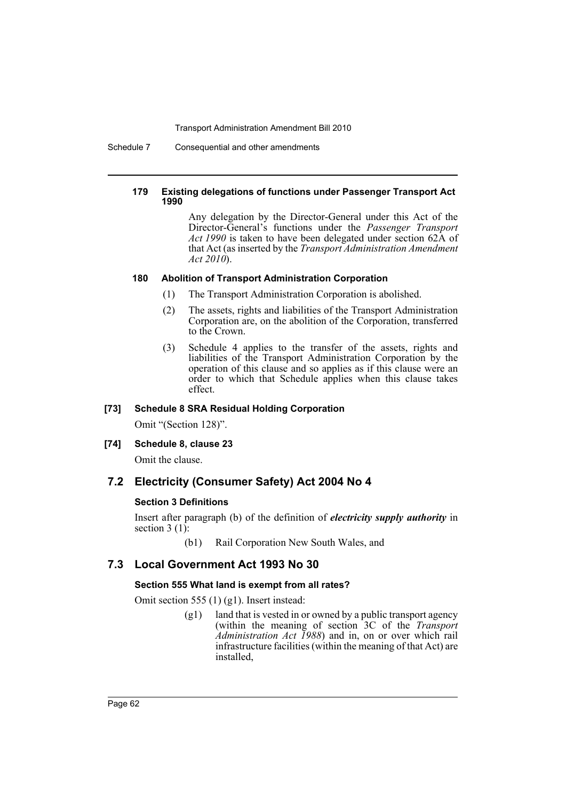Schedule 7 Consequential and other amendments

#### **179 Existing delegations of functions under Passenger Transport Act 1990**

Any delegation by the Director-General under this Act of the Director-General's functions under the *Passenger Transport Act 1990* is taken to have been delegated under section 62A of that Act (as inserted by the *Transport Administration Amendment Act 2010*).

#### **180 Abolition of Transport Administration Corporation**

- (1) The Transport Administration Corporation is abolished.
- (2) The assets, rights and liabilities of the Transport Administration Corporation are, on the abolition of the Corporation, transferred to the Crown.
- (3) Schedule 4 applies to the transfer of the assets, rights and liabilities of the Transport Administration Corporation by the operation of this clause and so applies as if this clause were an order to which that Schedule applies when this clause takes effect.

#### **[73] Schedule 8 SRA Residual Holding Corporation**

Omit "(Section 128)".

#### **[74] Schedule 8, clause 23**

Omit the clause.

### **7.2 Electricity (Consumer Safety) Act 2004 No 4**

#### **Section 3 Definitions**

Insert after paragraph (b) of the definition of *electricity supply authority* in section 3 (1):

(b1) Rail Corporation New South Wales, and

### **7.3 Local Government Act 1993 No 30**

#### **Section 555 What land is exempt from all rates?**

Omit section 555 (1) (g1). Insert instead:

(g1) land that is vested in or owned by a public transport agency (within the meaning of section 3C of the *Transport Administration Act 1988*) and in, on or over which rail infrastructure facilities (within the meaning of that Act) are installed,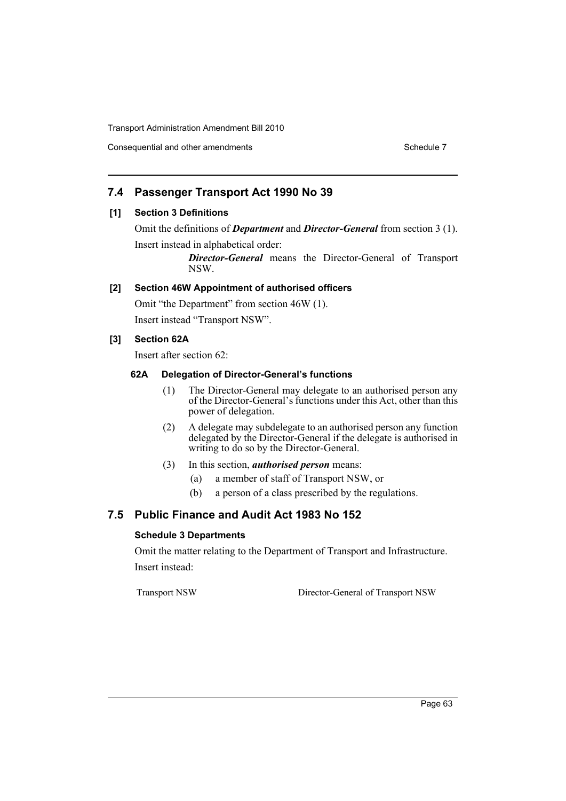Consequential and other amendments Schedule 7

### **7.4 Passenger Transport Act 1990 No 39**

#### **[1] Section 3 Definitions**

Omit the definitions of *Department* and *Director-General* from section 3 (1). Insert instead in alphabetical order:

> *Director-General* means the Director-General of Transport NSW.

#### **[2] Section 46W Appointment of authorised officers**

Omit "the Department" from section 46W (1). Insert instead "Transport NSW".

### **[3] Section 62A**

Insert after section 62:

#### **62A Delegation of Director-General's functions**

- (1) The Director-General may delegate to an authorised person any of the Director-General's functions under this Act, other than this power of delegation.
- (2) A delegate may subdelegate to an authorised person any function delegated by the Director-General if the delegate is authorised in writing to do so by the Director-General.
- (3) In this section, *authorised person* means:
	- (a) a member of staff of Transport NSW, or
	- (b) a person of a class prescribed by the regulations.

### **7.5 Public Finance and Audit Act 1983 No 152**

### **Schedule 3 Departments**

Omit the matter relating to the Department of Transport and Infrastructure. Insert instead:

Transport NSW Director-General of Transport NSW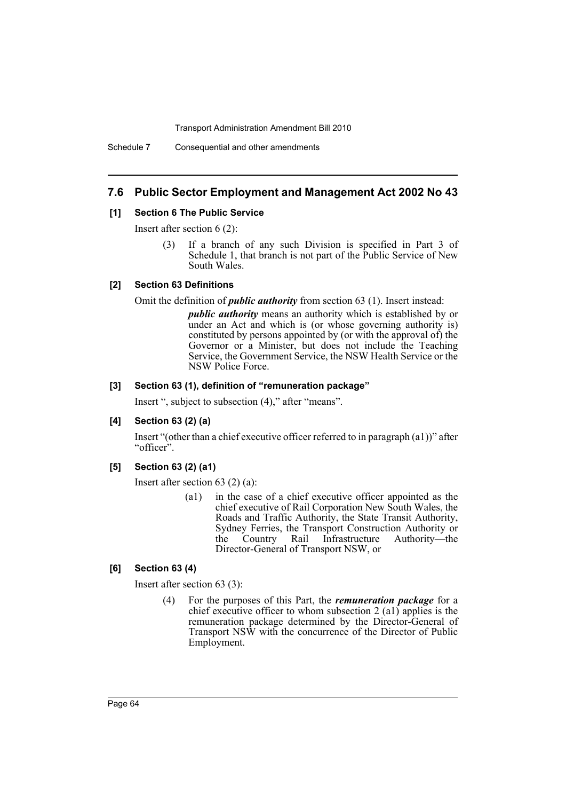### **7.6 Public Sector Employment and Management Act 2002 No 43**

#### **[1] Section 6 The Public Service**

Insert after section 6 (2):

If a branch of any such Division is specified in Part 3 of Schedule 1, that branch is not part of the Public Service of New South Wales.

#### **[2] Section 63 Definitions**

Omit the definition of *public authority* from section 63 (1). Insert instead:

*public authority* means an authority which is established by or under an Act and which is (or whose governing authority is) constituted by persons appointed by (or with the approval of) the Governor or a Minister, but does not include the Teaching Service, the Government Service, the NSW Health Service or the NSW Police Force.

#### **[3] Section 63 (1), definition of "remuneration package"**

Insert ", subject to subsection (4)," after "means".

#### **[4] Section 63 (2) (a)**

Insert "(other than a chief executive officer referred to in paragraph (a1))" after "officer".

#### **[5] Section 63 (2) (a1)**

Insert after section 63 (2) (a):

(a1) in the case of a chief executive officer appointed as the chief executive of Rail Corporation New South Wales, the Roads and Traffic Authority, the State Transit Authority, Sydney Ferries, the Transport Construction Authority or the Country Rail Infrastructure Authority—the Director-General of Transport NSW, or

#### **[6] Section 63 (4)**

Insert after section 63 (3):

(4) For the purposes of this Part, the *remuneration package* for a chief executive officer to whom subsection 2 (a1) applies is the remuneration package determined by the Director-General of Transport NSW with the concurrence of the Director of Public Employment.